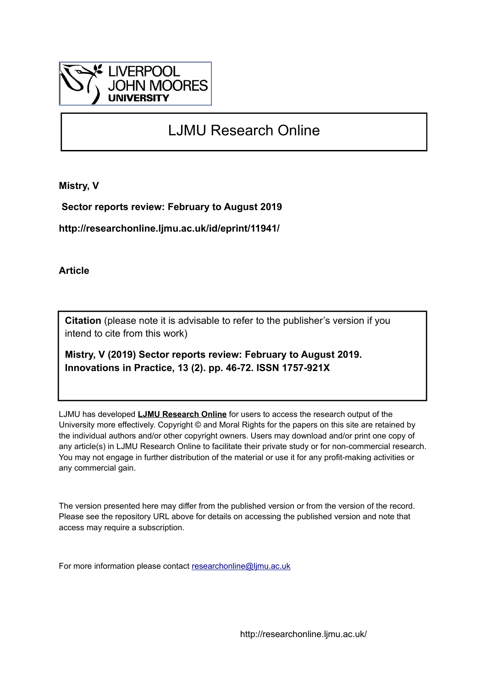

# LJMU Research Online

**Mistry, V**

 **Sector reports review: February to August 2019**

**http://researchonline.ljmu.ac.uk/id/eprint/11941/**

**Article**

**Citation** (please note it is advisable to refer to the publisher's version if you intend to cite from this work)

**Mistry, V (2019) Sector reports review: February to August 2019. Innovations in Practice, 13 (2). pp. 46-72. ISSN 1757-921X** 

LJMU has developed **[LJMU Research Online](http://researchonline.ljmu.ac.uk/)** for users to access the research output of the University more effectively. Copyright © and Moral Rights for the papers on this site are retained by the individual authors and/or other copyright owners. Users may download and/or print one copy of any article(s) in LJMU Research Online to facilitate their private study or for non-commercial research. You may not engage in further distribution of the material or use it for any profit-making activities or any commercial gain.

The version presented here may differ from the published version or from the version of the record. Please see the repository URL above for details on accessing the published version and note that access may require a subscription.

For more information please contact [researchonline@ljmu.ac.uk](mailto:researchonline@ljmu.ac.uk)

http://researchonline.ljmu.ac.uk/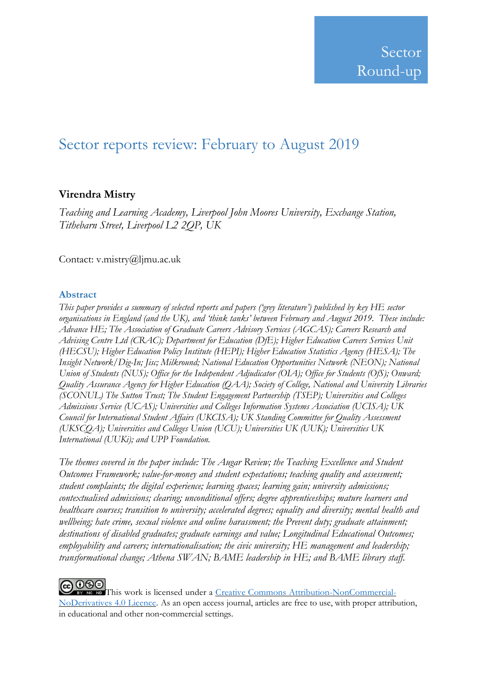# Sector reports review: February to August 2019

# **Virendra Mistry**

*Teaching and Learning Academy, Liverpool John Moores University, Exchange Station, Tithebarn Street, Liverpool L2 2QP, UK*

Contact: v.mistry@ljmu.ac.uk

## **Abstract**

*This paper provides a summary of selected reports and papers ('grey literature') published by key HE sector organisations in England (and the UK), and 'think tanks' between February and August 2019. These include: Advance HE; The Association of Graduate Careers Advisory Services (AGCAS); Careers Research and Advising Centre Ltd (CRAC); Department for Education (DfE); Higher Education Careers Services Unit (HECSU); Higher Education Policy Institute (HEPI); Higher Education Statistics Agency (HESA); The Insight Network/Dig-In; Jisc; Milkround; National Education Opportunities Network (NEON); National Union of Students (NUS); Office for the Independent Adjudicator (OIA); Office for Students (OfS); Onward; Quality Assurance Agency for Higher Education (QAA); Society of College, National and University Libraries (SCONUL) The Sutton Trust; The Student Engagement Partnership (TSEP); Universities and Colleges Admissions Service (UCAS); Universities and Colleges Information Systems Association (UCISA); UK Council for International Student Affairs (UKCISA); UK Standing Committee for Quality Assessment (UKSCQA); Universities and Colleges Union (UCU); Universities UK (UUK); Universities UK International (UUKi); and UPP Foundation.*

*The themes covered in the paper include: The Augar Review; the Teaching Excellence and Student Outcomes Framework; value-for-money and student expectations; teaching quality and assessment; student complaints; the digital experience; learning spaces; learning gain; university admissions; contextualised admissions; clearing; unconditional offers; degree apprenticeships; mature learners and healthcare courses; transition to university; accelerated degrees; equality and diversity; mental health and wellbeing; hate crime, sexual violence and online harassment; the Prevent duty; graduate attainment; destinations of disabled graduates; graduate earnings and value; Longitudinal Educational Outcomes; employability and careers; internationalisation; the civic university; HE management and leadership; transformational change; Athena SWAN; BAME leadership in HE; and BAME library staff.*

# **@0®**

This work is licensed under a Creative Commons [Attribution-NonCommercial-](http://creativecommons.org/licenses/by-nc-nd/4.0/)[NoDerivatives](http://creativecommons.org/licenses/by-nc-nd/4.0/) 4.0 Licence. As an open access journal, articles are free to use, with proper attribution, in educational and other non‐commercial settings.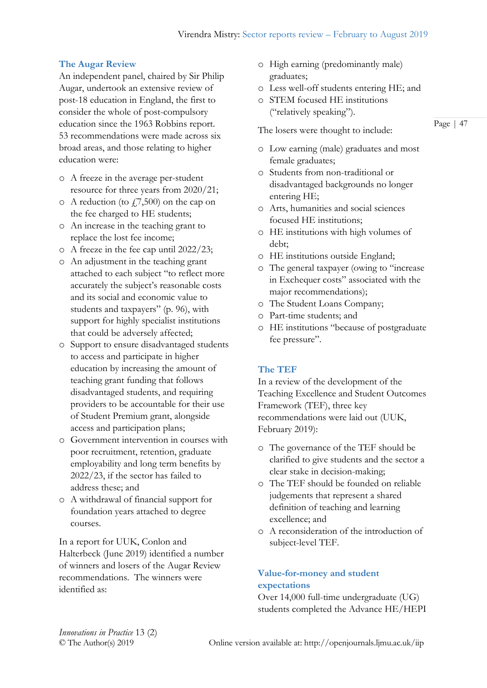## **The Augar Review**

An independent panel, chaired by Sir Philip Augar, undertook an extensive review of post-18 education in England, the first to consider the whole of post-compulsory education since the 1963 Robbins report. 53 recommendations were made across six broad areas, and those relating to higher education were:

- o A freeze in the average per-student resource for three years from 2020/21;
- $\circ$  A reduction (to  $(7,500)$  on the cap on the fee charged to HE students;
- o An increase in the teaching grant to replace the lost fee income;
- o A freeze in the fee cap until 2022/23;
- o An adjustment in the teaching grant attached to each subject "to reflect more accurately the subject's reasonable costs and its social and economic value to students and taxpayers" (p. 96), with support for highly specialist institutions that could be adversely affected;
- o Support to ensure disadvantaged students to access and participate in higher education by increasing the amount of teaching grant funding that follows disadvantaged students, and requiring providers to be accountable for their use of Student Premium grant, alongside access and participation plans;
- o Government intervention in courses with poor recruitment, retention, graduate employability and long term benefits by 2022/23, if the sector has failed to address these; and
- o A withdrawal of financial support for foundation years attached to degree courses.

In a report for UUK, Conlon and Halterbeck (June 2019) identified a number of winners and losers of the Augar Review recommendations. The winners were identified as:

- o High earning (predominantly male) graduates;
- o Less well-off students entering HE; and
- o STEM focused HE institutions ("relatively speaking").

The losers were thought to include:

- o Low earning (male) graduates and most female graduates;
- o Students from non-traditional or disadvantaged backgrounds no longer entering HE;
- o Arts, humanities and social sciences focused HE institutions;
- o HE institutions with high volumes of debt;
- o HE institutions outside England;
- o The general taxpayer (owing to "increase in Exchequer costs" associated with the major recommendations);
- o The Student Loans Company;
- o Part-time students; and
- o HE institutions "because of postgraduate fee pressure".

# **The TEF**

In a review of the development of the Teaching Excellence and Student Outcomes Framework (TEF), three key recommendations were laid out (UUK, February 2019):

- o The governance of the TEF should be clarified to give students and the sector a clear stake in decision-making;
- o The TEF should be founded on reliable judgements that represent a shared definition of teaching and learning excellence; and
- o A reconsideration of the introduction of subject-level TEF.

# **Value-for-money and student expectations**

Over 14,000 full-time undergraduate (UG) students completed the Advance HE/HEPI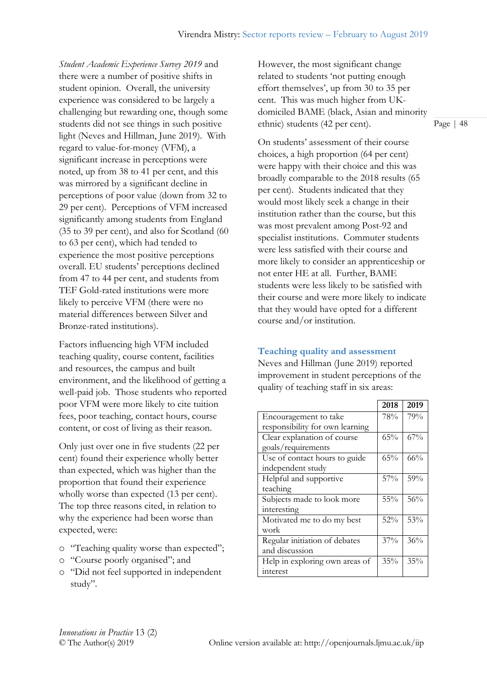*Student Academic Experience Survey 2019* and there were a number of positive shifts in student opinion. Overall, the university experience was considered to be largely a challenging but rewarding one, though some students did not see things in such positive light (Neves and Hillman, June 2019). With regard to value-for-money (VFM), a significant increase in perceptions were noted, up from 38 to 41 per cent, and this was mirrored by a significant decline in perceptions of poor value (down from 32 to 29 per cent). Perceptions of VFM increased significantly among students from England (35 to 39 per cent), and also for Scotland (60 to 63 per cent), which had tended to experience the most positive perceptions overall. EU students' perceptions declined from 47 to 44 per cent, and students from TEF Gold-rated institutions were more likely to perceive VFM (there were no material differences between Silver and Bronze-rated institutions).

Factors influencing high VFM included teaching quality, course content, facilities and resources, the campus and built environment, and the likelihood of getting a well-paid job. Those students who reported poor VFM were more likely to cite tuition fees, poor teaching, contact hours, course content, or cost of living as their reason.

Only just over one in five students (22 per cent) found their experience wholly better than expected, which was higher than the proportion that found their experience wholly worse than expected (13 per cent). The top three reasons cited, in relation to why the experience had been worse than expected, were:

- o "Teaching quality worse than expected";
- o "Course poorly organised"; and
- o "Did not feel supported in independent study".

However, the most significant change related to students 'not putting enough effort themselves', up from 30 to 35 per cent. This was much higher from UKdomiciled BAME (black, Asian and minority ethnic) students (42 per cent).

On students' assessment of their course choices, a high proportion (64 per cent) were happy with their choice and this was broadly comparable to the 2018 results (65 per cent). Students indicated that they would most likely seek a change in their institution rather than the course, but this was most prevalent among Post-92 and specialist institutions. Commuter students were less satisfied with their course and more likely to consider an apprenticeship or not enter HE at all. Further, BAME students were less likely to be satisfied with their course and were more likely to indicate that they would have opted for a different course and/or institution.

# **Teaching quality and assessment**

Neves and Hillman (June 2019) reported improvement in student perceptions of the quality of teaching staff in six areas:

|                                 | 2018   | 2019   |
|---------------------------------|--------|--------|
| Encouragement to take           | 78%    | 79%    |
| responsibility for own learning |        |        |
| Clear explanation of course     | 65%    | 67%    |
| goals/requirements              |        |        |
| Use of contact hours to guide   | 65%    | $66\%$ |
| independent study               |        |        |
| Helpful and supportive          | $57\%$ | 59%    |
| teaching                        |        |        |
| Subjects made to look more      | $55\%$ | 56%    |
| interesting                     |        |        |
| Motivated me to do my best      | $52\%$ | 53%    |
| work                            |        |        |
| Regular initiation of debates   | $37\%$ | 36%    |
| and discussion                  |        |        |
| Help in exploring own areas of  | 35%    | 35%    |
| interest                        |        |        |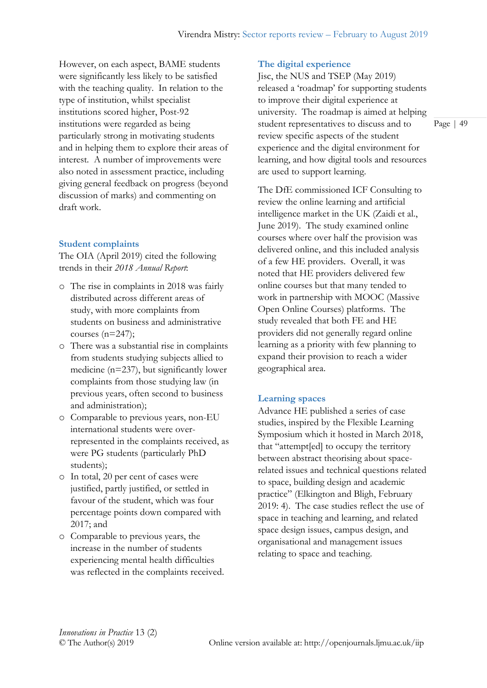However, on each aspect, BAME students were significantly less likely to be satisfied with the teaching quality. In relation to the type of institution, whilst specialist institutions scored higher, Post-92 institutions were regarded as being particularly strong in motivating students and in helping them to explore their areas of interest. A number of improvements were also noted in assessment practice, including giving general feedback on progress (beyond discussion of marks) and commenting on draft work.

# **Student complaints**

The OIA (April 2019) cited the following trends in their *2018 Annual Report*:

- o The rise in complaints in 2018 was fairly distributed across different areas of study, with more complaints from students on business and administrative courses (n=247);
- o There was a substantial rise in complaints from students studying subjects allied to medicine (n=237), but significantly lower complaints from those studying law (in previous years, often second to business and administration);
- o Comparable to previous years, non-EU international students were overrepresented in the complaints received, as were PG students (particularly PhD students);
- o In total, 20 per cent of cases were justified, partly justified, or settled in favour of the student, which was four percentage points down compared with 2017; and
- o Comparable to previous years, the increase in the number of students experiencing mental health difficulties was reflected in the complaints received.

# **The digital experience**

Jisc, the NUS and TSEP (May 2019) released a 'roadmap' for supporting students to improve their digital experience at university. The roadmap is aimed at helping student representatives to discuss and to review specific aspects of the student experience and the digital environment for learning, and how digital tools and resources are used to support learning.

The DfE commissioned ICF Consulting to review the online learning and artificial intelligence market in the UK (Zaidi et al., June 2019). The study examined online courses where over half the provision was delivered online, and this included analysis of a few HE providers. Overall, it was noted that HE providers delivered few online courses but that many tended to work in partnership with MOOC (Massive Open Online Courses) platforms. The study revealed that both FE and HE providers did not generally regard online learning as a priority with few planning to expand their provision to reach a wider geographical area.

# **Learning spaces**

Advance HE published a series of case studies, inspired by the Flexible Learning Symposium which it hosted in March 2018, that "attempt[ed] to occupy the territory between abstract theorising about spacerelated issues and technical questions related to space, building design and academic practice" (Elkington and Bligh, February 2019: 4). The case studies reflect the use of space in teaching and learning, and related space design issues, campus design, and organisational and management issues relating to space and teaching.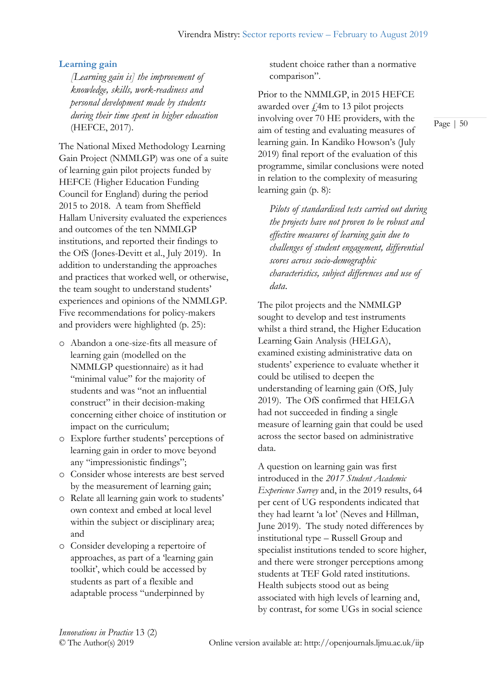## **Learning gain**

*[Learning gain is] the improvement of knowledge, skills, work-readiness and personal development made by students during their time spent in higher education*  (HEFCE, 2017).

The National Mixed Methodology Learning Gain Project (NMMLGP) was one of a suite of learning gain pilot projects funded by HEFCE (Higher Education Funding Council for England) during the period 2015 to 2018. A team from Sheffield Hallam University evaluated the experiences and outcomes of the ten NMMLGP institutions, and reported their findings to the OfS (Jones-Devitt et al., July 2019). In addition to understanding the approaches and practices that worked well, or otherwise, the team sought to understand students' experiences and opinions of the NMMLGP. Five recommendations for policy-makers and providers were highlighted (p. 25):

- o Abandon a one-size-fits all measure of learning gain (modelled on the NMMLGP questionnaire) as it had "minimal value" for the majority of students and was "not an influential construct" in their decision-making concerning either choice of institution or impact on the curriculum;
- o Explore further students' perceptions of learning gain in order to move beyond any "impressionistic findings";
- o Consider whose interests are best served by the measurement of learning gain;
- o Relate all learning gain work to students' own context and embed at local level within the subject or disciplinary area; and
- o Consider developing a repertoire of approaches, as part of a 'learning gain toolkit', which could be accessed by students as part of a flexible and adaptable process "underpinned by

student choice rather than a normative comparison".

Prior to the NMMLGP, in 2015 HEFCE awarded over  $\ell$ 4m to 13 pilot projects involving over 70 HE providers, with the aim of testing and evaluating measures of learning gain. In Kandiko Howson's (July 2019) final report of the evaluation of this programme, similar conclusions were noted in relation to the complexity of measuring learning gain (p. 8):

*Pilots of standardised tests carried out during the projects have not proven to be robust and effective measures of learning gain due to challenges of student engagement, differential scores across socio-demographic characteristics, subject differences and use of data*.

The pilot projects and the NMMLGP sought to develop and test instruments whilst a third strand, the Higher Education Learning Gain Analysis (HELGA), examined existing administrative data on students' experience to evaluate whether it could be utilised to deepen the understanding of learning gain (OfS, July 2019). The OfS confirmed that HELGA had not succeeded in finding a single measure of learning gain that could be used across the sector based on administrative data.

A question on learning gain was first introduced in the *2017 Student Academic Experience Survey* and, in the 2019 results, 64 per cent of UG respondents indicated that they had learnt 'a lot' (Neves and Hillman, June 2019). The study noted differences by institutional type – Russell Group and specialist institutions tended to score higher, and there were stronger perceptions among students at TEF Gold rated institutions. Health subjects stood out as being associated with high levels of learning and, by contrast, for some UGs in social science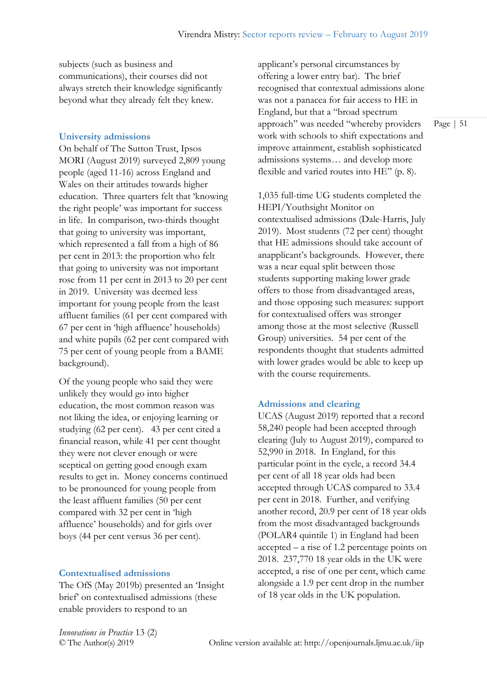subjects (such as business and communications), their courses did not always stretch their knowledge significantly beyond what they already felt they knew.

#### **University admissions**

On behalf of The Sutton Trust, Ipsos MORI (August 2019) surveyed 2,809 young people (aged 11-16) across England and Wales on their attitudes towards higher education. Three quarters felt that 'knowing the right people' was important for success in life. In comparison, two-thirds thought that going to university was important, which represented a fall from a high of 86 per cent in 2013: the proportion who felt that going to university was not important rose from 11 per cent in 2013 to 20 per cent in 2019. University was deemed less important for young people from the least affluent families (61 per cent compared with 67 per cent in 'high affluence' households) and white pupils (62 per cent compared with 75 per cent of young people from a BAME background).

Of the young people who said they were unlikely they would go into higher education, the most common reason was not liking the idea, or enjoying learning or studying (62 per cent). 43 per cent cited a financial reason, while 41 per cent thought they were not clever enough or were sceptical on getting good enough exam results to get in. Money concerns continued to be pronounced for young people from the least affluent families (50 per cent compared with 32 per cent in 'high affluence' households) and for girls over boys (44 per cent versus 36 per cent).

#### **Contextualised admissions**

The OfS (May 2019b) presented an 'Insight brief' on contextualised admissions (these enable providers to respond to an

applicant's personal circumstances by offering a lower entry bar). The brief recognised that contextual admissions alone was not a panacea for fair access to HE in England, but that a "broad spectrum approach" was needed "whereby providers work with schools to shift expectations and improve attainment, establish sophisticated admissions systems… and develop more flexible and varied routes into HE" (p. 8).

1,035 full-time UG students completed the HEPI/Youthsight Monitor on contextualised admissions (Dale-Harris, July 2019). Most students (72 per cent) thought that HE admissions should take account of anapplicant's backgrounds. However, there was a near equal split between those students supporting making lower grade offers to those from disadvantaged areas, and those opposing such measures: support for contextualised offers was stronger among those at the most selective (Russell Group) universities. 54 per cent of the respondents thought that students admitted with lower grades would be able to keep up with the course requirements.

#### **Admissions and clearing**

UCAS (August 2019) reported that a record 58,240 people had been accepted through clearing (July to August 2019), compared to 52,990 in 2018. In England, for this particular point in the cycle, a record 34.4 per cent of all 18 year olds had been accepted through UCAS compared to 33.4 per cent in 2018. Further, and verifying another record, 20.9 per cent of 18 year olds from the most disadvantaged backgrounds (POLAR4 quintile 1) in England had been accepted – a rise of 1.2 percentage points on 2018. 237,770 18 year olds in the UK were accepted, a rise of one per cent, which came alongside a 1.9 per cent drop in the number of 18 year olds in the UK population.

*Innovations in Practice* 13 (2)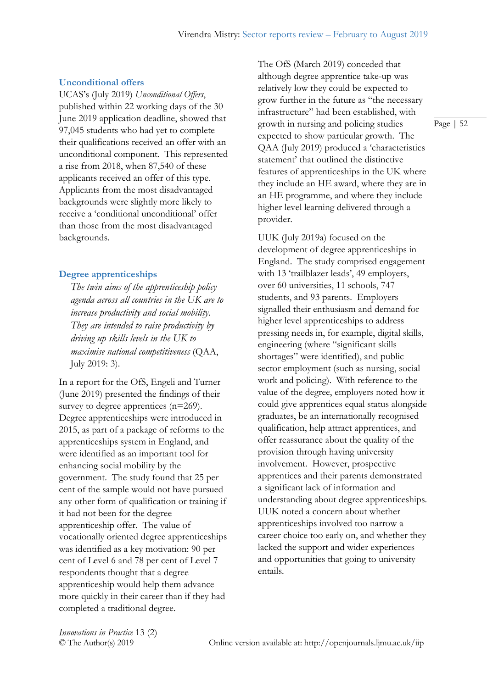### **Unconditional offers**

UCAS's (July 2019) *Unconditional Offers*, published within 22 working days of the 30 June 2019 application deadline, showed that 97,045 students who had yet to complete their qualifications received an offer with an unconditional component. This represented a rise from 2018, when 87,540 of these applicants received an offer of this type. Applicants from the most disadvantaged backgrounds were slightly more likely to receive a 'conditional unconditional' offer than those from the most disadvantaged backgrounds.

#### **Degree apprenticeships**

*The twin aims of the apprenticeship policy agenda across all countries in the UK are to increase productivity and social mobility. They are intended to raise productivity by driving up skills levels in the UK to maximise national competitiveness* (QAA, July 2019: 3).

In a report for the OfS, Engeli and Turner (June 2019) presented the findings of their survey to degree apprentices (n=269). Degree apprenticeships were introduced in 2015, as part of a package of reforms to the apprenticeships system in England, and were identified as an important tool for enhancing social mobility by the government. The study found that 25 per cent of the sample would not have pursued any other form of qualification or training if it had not been for the degree apprenticeship offer. The value of vocationally oriented degree apprenticeships was identified as a key motivation: 90 per cent of Level 6 and 78 per cent of Level 7 respondents thought that a degree apprenticeship would help them advance more quickly in their career than if they had completed a traditional degree.

The OfS (March 2019) conceded that although degree apprentice take-up was relatively low they could be expected to grow further in the future as "the necessary infrastructure" had been established, with growth in nursing and policing studies expected to show particular growth. The QAA (July 2019) produced a 'characteristics statement' that outlined the distinctive features of apprenticeships in the UK where they include an HE award, where they are in an HE programme, and where they include higher level learning delivered through a provider.

UUK (July 2019a) focused on the development of degree apprenticeships in England. The study comprised engagement with 13 'trailblazer leads', 49 employers, over 60 universities, 11 schools, 747 students, and 93 parents. Employers signalled their enthusiasm and demand for higher level apprenticeships to address pressing needs in, for example, digital skills, engineering (where "significant skills shortages" were identified), and public sector employment (such as nursing, social work and policing). With reference to the value of the degree, employers noted how it could give apprentices equal status alongside graduates, be an internationally recognised qualification, help attract apprentices, and offer reassurance about the quality of the provision through having university involvement. However, prospective apprentices and their parents demonstrated a significant lack of information and understanding about degree apprenticeships. UUK noted a concern about whether apprenticeships involved too narrow a career choice too early on, and whether they lacked the support and wider experiences and opportunities that going to university entails.

*Innovations in Practice* 13 (2)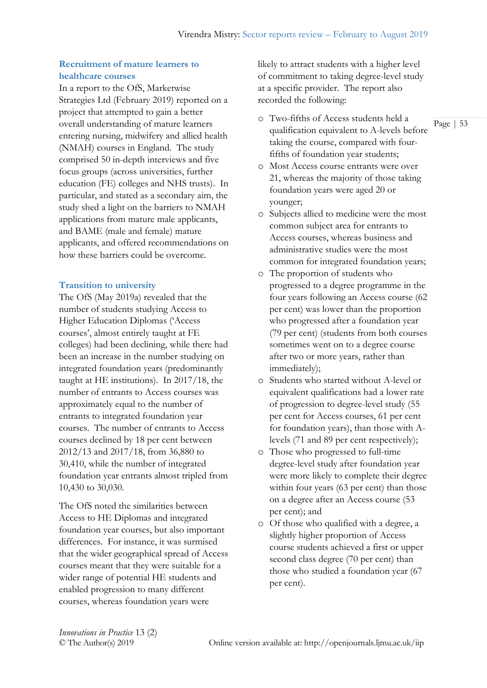## **Recruitment of mature learners to healthcare courses**

In a report to the OfS, Marketwise Strategies Ltd (February 2019) reported on a project that attempted to gain a better overall understanding of mature learners entering nursing, midwifery and allied health (NMAH) courses in England. The study comprised 50 in-depth interviews and five focus groups (across universities, further education (FE) colleges and NHS trusts). In particular, and stated as a secondary aim, the study shed a light on the barriers to NMAH applications from mature male applicants, and BAME (male and female) mature applicants, and offered recommendations on how these barriers could be overcome.

## **Transition to university**

The OfS (May 2019a) revealed that the number of students studying Access to Higher Education Diplomas ('Access courses', almost entirely taught at FE colleges) had been declining, while there had been an increase in the number studying on integrated foundation years (predominantly taught at HE institutions). In 2017/18, the number of entrants to Access courses was approximately equal to the number of entrants to integrated foundation year courses. The number of entrants to Access courses declined by 18 per cent between 2012/13 and 2017/18, from 36,880 to 30,410, while the number of integrated foundation year entrants almost tripled from 10,430 to 30,030.

The OfS noted the similarities between Access to HE Diplomas and integrated foundation year courses, but also important differences. For instance, it was surmised that the wider geographical spread of Access courses meant that they were suitable for a wider range of potential HE students and enabled progression to many different courses, whereas foundation years were

likely to attract students with a higher level of commitment to taking degree-level study at a specific provider. The report also recorded the following:

- o Two-fifths of Access students held a qualification equivalent to A-levels before taking the course, compared with fourfifths of foundation year students;
- o Most Access course entrants were over 21, whereas the majority of those taking foundation years were aged 20 or younger;
- o Subjects allied to medicine were the most common subject area for entrants to Access courses, whereas business and administrative studies were the most common for integrated foundation years;
- o The proportion of students who progressed to a degree programme in the four years following an Access course (62 per cent) was lower than the proportion who progressed after a foundation year (79 per cent) (students from both courses sometimes went on to a degree course after two or more years, rather than immediately);
- o Students who started without A-level or equivalent qualifications had a lower rate of progression to degree-level study (55 per cent for Access courses, 61 per cent for foundation years), than those with Alevels (71 and 89 per cent respectively);
- o Those who progressed to full-time degree-level study after foundation year were more likely to complete their degree within four years (63 per cent) than those on a degree after an Access course (53 per cent); and
- o Of those who qualified with a degree, a slightly higher proportion of Access course students achieved a first or upper second class degree (70 per cent) than those who studied a foundation year (67 per cent).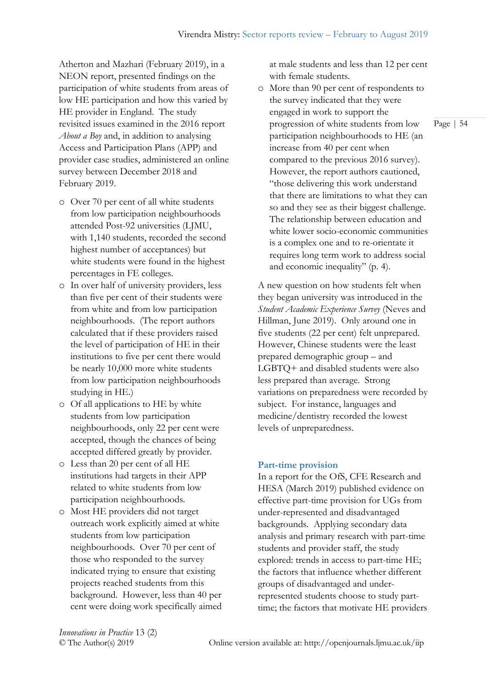Atherton and Mazhari (February 2019), in a NEON report, presented findings on the participation of white students from areas of low HE participation and how this varied by HE provider in England. The study revisited issues examined in the 2016 report *About a Boy* and, in addition to analysing Access and Participation Plans (APP) and provider case studies, administered an online survey between December 2018 and February 2019.

- o Over 70 per cent of all white students from low participation neighbourhoods attended Post-92 universities (LJMU, with 1,140 students, recorded the second highest number of acceptances) but white students were found in the highest percentages in FE colleges.
- o In over half of university providers, less than five per cent of their students were from white and from low participation neighbourhoods. (The report authors calculated that if these providers raised the level of participation of HE in their institutions to five per cent there would be nearly 10,000 more white students from low participation neighbourhoods studying in HE.)
- o Of all applications to HE by white students from low participation neighbourhoods, only 22 per cent were accepted, though the chances of being accepted differed greatly by provider.
- o Less than 20 per cent of all HE institutions had targets in their APP related to white students from low participation neighbourhoods.
- o Most HE providers did not target outreach work explicitly aimed at white students from low participation neighbourhoods. Over 70 per cent of those who responded to the survey indicated trying to ensure that existing projects reached students from this background. However, less than 40 per cent were doing work specifically aimed

at male students and less than 12 per cent with female students.

o More than 90 per cent of respondents to the survey indicated that they were engaged in work to support the progression of white students from low participation neighbourhoods to HE (an increase from 40 per cent when compared to the previous 2016 survey). However, the report authors cautioned, "those delivering this work understand that there are limitations to what they can so and they see as their biggest challenge. The relationship between education and white lower socio-economic communities is a complex one and to re-orientate it requires long term work to address social and economic inequality" (p. 4).

A new question on how students felt when they began university was introduced in the *Student Academic Experience Survey* (Neves and Hillman, June 2019). Only around one in five students (22 per cent) felt unprepared. However, Chinese students were the least prepared demographic group – and LGBTQ+ and disabled students were also less prepared than average. Strong variations on preparedness were recorded by subject. For instance, languages and medicine/dentistry recorded the lowest levels of unpreparedness.

## **Part-time provision**

In a report for the OfS, CFE Research and HESA (March 2019) published evidence on effective part-time provision for UGs from under-represented and disadvantaged backgrounds. Applying secondary data analysis and primary research with part-time students and provider staff, the study explored: trends in access to part-time HE; the factors that influence whether different groups of disadvantaged and underrepresented students choose to study parttime; the factors that motivate HE providers

*Innovations in Practice* 13 (2)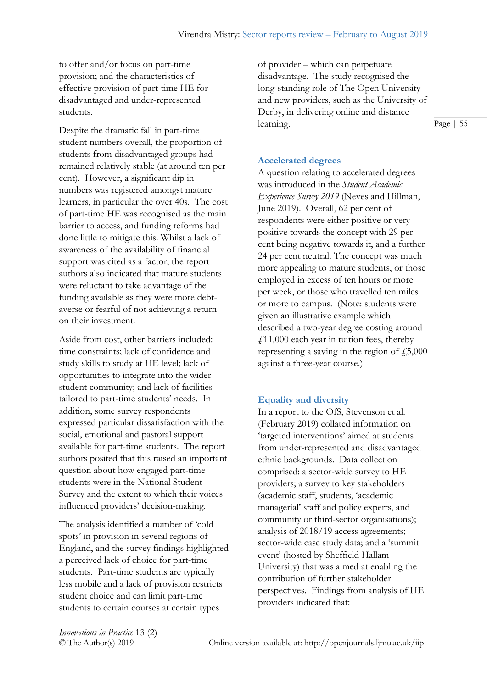to offer and/or focus on part-time provision; and the characteristics of effective provision of part-time HE for disadvantaged and under-represented students.

Despite the dramatic fall in part-time student numbers overall, the proportion of students from disadvantaged groups had remained relatively stable (at around ten per cent). However, a significant dip in numbers was registered amongst mature learners, in particular the over 40s. The cost of part-time HE was recognised as the main barrier to access, and funding reforms had done little to mitigate this. Whilst a lack of awareness of the availability of financial support was cited as a factor, the report authors also indicated that mature students were reluctant to take advantage of the funding available as they were more debtaverse or fearful of not achieving a return on their investment.

Aside from cost, other barriers included: time constraints; lack of confidence and study skills to study at HE level; lack of opportunities to integrate into the wider student community; and lack of facilities tailored to part-time students' needs. In addition, some survey respondents expressed particular dissatisfaction with the social, emotional and pastoral support available for part-time students. The report authors posited that this raised an important question about how engaged part-time students were in the National Student Survey and the extent to which their voices influenced providers' decision-making.

The analysis identified a number of 'cold spots' in provision in several regions of England, and the survey findings highlighted a perceived lack of choice for part-time students. Part-time students are typically less mobile and a lack of provision restricts student choice and can limit part-time students to certain courses at certain types

of provider – which can perpetuate disadvantage. The study recognised the long-standing role of The Open University and new providers, such as the University of Derby, in delivering online and distance learning.

Page | 55

# **Accelerated degrees**

A question relating to accelerated degrees was introduced in the *Student Academic Experience Survey 2019* (Neves and Hillman, June 2019). Overall, 62 per cent of respondents were either positive or very positive towards the concept with 29 per cent being negative towards it, and a further 24 per cent neutral. The concept was much more appealing to mature students, or those employed in excess of ten hours or more per week, or those who travelled ten miles or more to campus. (Note: students were given an illustrative example which described a two-year degree costing around  $f(11,000)$  each year in tuition fees, thereby representing a saving in the region of  $f_{15,000}$ against a three-year course.)

## **Equality and diversity**

In a report to the OfS, Stevenson et al. (February 2019) collated information on 'targeted interventions' aimed at students from under-represented and disadvantaged ethnic backgrounds. Data collection comprised: a sector-wide survey to HE providers; a survey to key stakeholders (academic staff, students, 'academic managerial' staff and policy experts, and community or third-sector organisations); analysis of 2018/19 access agreements; sector-wide case study data; and a 'summit event' (hosted by Sheffield Hallam University) that was aimed at enabling the contribution of further stakeholder perspectives. Findings from analysis of HE providers indicated that: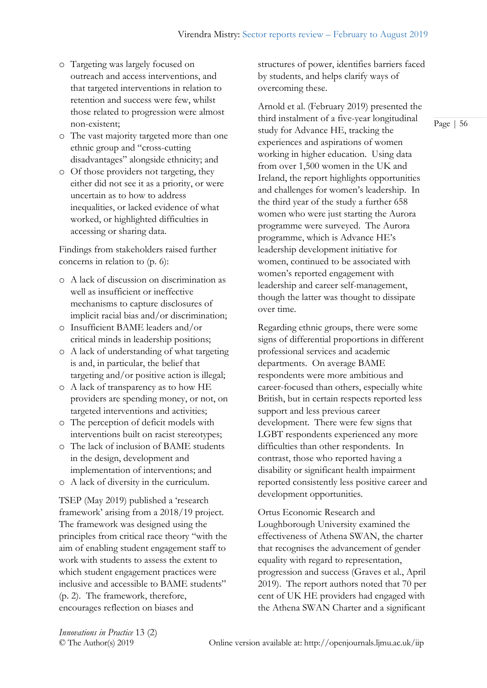- o Targeting was largely focused on outreach and access interventions, and that targeted interventions in relation to retention and success were few, whilst those related to progression were almost non-existent;
- o The vast majority targeted more than one ethnic group and "cross-cutting disadvantages" alongside ethnicity; and
- o Of those providers not targeting, they either did not see it as a priority, or were uncertain as to how to address inequalities, or lacked evidence of what worked, or highlighted difficulties in accessing or sharing data.

Findings from stakeholders raised further concerns in relation to (p. 6):

- o A lack of discussion on discrimination as well as insufficient or ineffective mechanisms to capture disclosures of implicit racial bias and/or discrimination;
- o Insufficient BAME leaders and/or critical minds in leadership positions;
- o A lack of understanding of what targeting is and, in particular, the belief that targeting and/or positive action is illegal;
- o A lack of transparency as to how HE providers are spending money, or not, on targeted interventions and activities;
- o The perception of deficit models with interventions built on racist stereotypes;
- o The lack of inclusion of BAME students in the design, development and implementation of interventions; and
- o A lack of diversity in the curriculum.

TSEP (May 2019) published a 'research framework' arising from a 2018/19 project. The framework was designed using the principles from critical race theory "with the aim of enabling student engagement staff to work with students to assess the extent to which student engagement practices were inclusive and accessible to BAME students" (p. 2). The framework, therefore, encourages reflection on biases and

structures of power, identifies barriers faced by students, and helps clarify ways of overcoming these.

Arnold et al. (February 2019) presented the third instalment of a five-year longitudinal study for Advance HE, tracking the experiences and aspirations of women working in higher education. Using data from over 1,500 women in the UK and Ireland, the report highlights opportunities and challenges for women's leadership. In the third year of the study a further 658 women who were just starting the Aurora programme were surveyed. The Aurora programme, which is Advance HE's leadership development initiative for women, continued to be associated with women's reported engagement with leadership and career self-management, though the latter was thought to dissipate over time.

Regarding ethnic groups, there were some signs of differential proportions in different professional services and academic departments. On average BAME respondents were more ambitious and career-focused than others, especially white British, but in certain respects reported less support and less previous career development. There were few signs that LGBT respondents experienced any more difficulties than other respondents. In contrast, those who reported having a disability or significant health impairment reported consistently less positive career and development opportunities.

Ortus Economic Research and Loughborough University examined the effectiveness of Athena SWAN, the charter that recognises the advancement of gender equality with regard to representation, progression and success (Graves et al., April 2019). The report authors noted that 70 per cent of UK HE providers had engaged with the Athena SWAN Charter and a significant

*Innovations in Practice* 13 (2)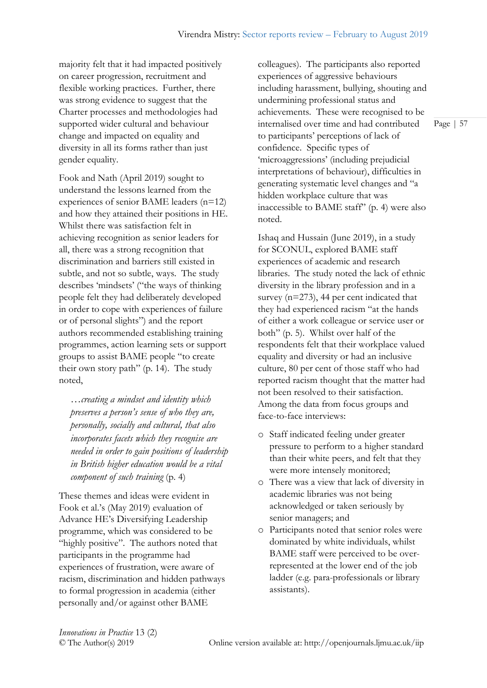majority felt that it had impacted positively on career progression, recruitment and flexible working practices. Further, there was strong evidence to suggest that the Charter processes and methodologies had supported wider cultural and behaviour change and impacted on equality and diversity in all its forms rather than just gender equality.

Fook and Nath (April 2019) sought to understand the lessons learned from the experiences of senior BAME leaders (n=12) and how they attained their positions in HE. Whilst there was satisfaction felt in achieving recognition as senior leaders for all, there was a strong recognition that discrimination and barriers still existed in subtle, and not so subtle, ways. The study describes 'mindsets' ("the ways of thinking people felt they had deliberately developed in order to cope with experiences of failure or of personal slights") and the report authors recommended establishing training programmes, action learning sets or support groups to assist BAME people "to create their own story path" (p. 14). The study noted,

*…creating a mindset and identity which preserves a person's sense of who they are, personally, socially and cultural, that also incorporates facets which they recognise are needed in order to gain positions of leadership in British higher education would be a vital component of such training* (p. 4)

These themes and ideas were evident in Fook et al.'s (May 2019) evaluation of Advance HE's Diversifying Leadership programme, which was considered to be "highly positive". The authors noted that participants in the programme had experiences of frustration, were aware of racism, discrimination and hidden pathways to formal progression in academia (either personally and/or against other BAME

colleagues). The participants also reported experiences of aggressive behaviours including harassment, bullying, shouting and undermining professional status and achievements. These were recognised to be internalised over time and had contributed to participants' perceptions of lack of confidence. Specific types of 'microaggressions' (including prejudicial interpretations of behaviour), difficulties in generating systematic level changes and "a hidden workplace culture that was inaccessible to BAME staff" (p. 4) were also noted.

Ishaq and Hussain (June 2019), in a study for SCONUL, explored BAME staff experiences of academic and research libraries. The study noted the lack of ethnic diversity in the library profession and in a survey (n=273), 44 per cent indicated that they had experienced racism "at the hands of either a work colleague or service user or both" (p. 5). Whilst over half of the respondents felt that their workplace valued equality and diversity or had an inclusive culture, 80 per cent of those staff who had reported racism thought that the matter had not been resolved to their satisfaction. Among the data from focus groups and face-to-face interviews:

- o Staff indicated feeling under greater pressure to perform to a higher standard than their white peers, and felt that they were more intensely monitored;
- o There was a view that lack of diversity in academic libraries was not being acknowledged or taken seriously by senior managers; and
- o Participants noted that senior roles were dominated by white individuals, whilst BAME staff were perceived to be overrepresented at the lower end of the job ladder (e.g. para-professionals or library assistants).

*Innovations in Practice* 13 (2)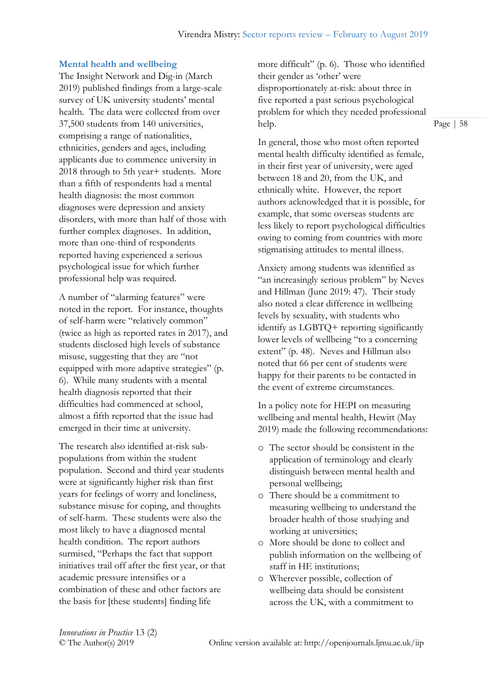#### **Mental health and wellbeing**

The Insight Network and Dig-in (March 2019) published findings from a large-scale survey of UK university students' mental health. The data were collected from over 37,500 students from 140 universities, comprising a range of nationalities, ethnicities, genders and ages, including applicants due to commence university in 2018 through to 5th year+ students. More than a fifth of respondents had a mental health diagnosis: the most common diagnoses were depression and anxiety disorders, with more than half of those with further complex diagnoses. In addition, more than one-third of respondents reported having experienced a serious psychological issue for which further professional help was required.

A number of "alarming features" were noted in the report. For instance, thoughts of self-harm were "relatively common" (twice as high as reported rates in 2017), and students disclosed high levels of substance misuse, suggesting that they are "not equipped with more adaptive strategies" (p. 6). While many students with a mental health diagnosis reported that their difficulties had commenced at school, almost a fifth reported that the issue had emerged in their time at university.

The research also identified at-risk subpopulations from within the student population. Second and third year students were at significantly higher risk than first years for feelings of worry and loneliness, substance misuse for coping, and thoughts of self-harm. These students were also the most likely to have a diagnosed mental health condition. The report authors surmised, "Perhaps the fact that support initiatives trail off after the first year, or that academic pressure intensifies or a combination of these and other factors are the basis for [these students] finding life

more difficult" (p. 6). Those who identified their gender as 'other' were disproportionately at-risk: about three in five reported a past serious psychological problem for which they needed professional help.

In general, those who most often reported mental health difficulty identified as female, in their first year of university, were aged between 18 and 20, from the UK, and ethnically white. However, the report authors acknowledged that it is possible, for example, that some overseas students are less likely to report psychological difficulties owing to coming from countries with more stigmatising attitudes to mental illness.

Anxiety among students was identified as "an increasingly serious problem" by Neves and Hillman (June 2019: 47). Their study also noted a clear difference in wellbeing levels by sexuality, with students who identify as LGBTQ+ reporting significantly lower levels of wellbeing "to a concerning extent" (p. 48). Neves and Hillman also noted that 66 per cent of students were happy for their parents to be contacted in the event of extreme circumstances.

In a policy note for HEPI on measuring wellbeing and mental health, Hewitt (May 2019) made the following recommendations:

- o The sector should be consistent in the application of terminology and clearly distinguish between mental health and personal wellbeing;
- o There should be a commitment to measuring wellbeing to understand the broader health of those studying and working at universities;
- o More should be done to collect and publish information on the wellbeing of staff in HE institutions;
- o Wherever possible, collection of wellbeing data should be consistent across the UK, with a commitment to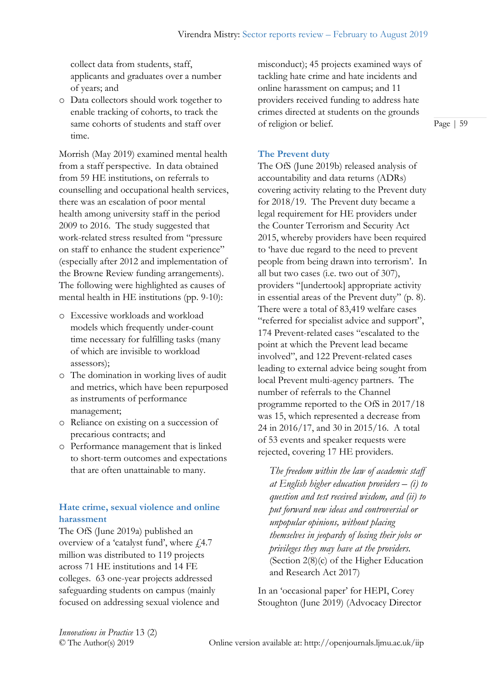collect data from students, staff, applicants and graduates over a number of years; and

o Data collectors should work together to enable tracking of cohorts, to track the same cohorts of students and staff over time.

Morrish (May 2019) examined mental health from a staff perspective. In data obtained from 59 HE institutions, on referrals to counselling and occupational health services, there was an escalation of poor mental health among university staff in the period 2009 to 2016. The study suggested that work-related stress resulted from "pressure on staff to enhance the student experience" (especially after 2012 and implementation of the Browne Review funding arrangements). The following were highlighted as causes of mental health in HE institutions (pp. 9-10):

- o Excessive workloads and workload models which frequently under-count time necessary for fulfilling tasks (many of which are invisible to workload assessors);
- o The domination in working lives of audit and metrics, which have been repurposed as instruments of performance management;
- o Reliance on existing on a succession of precarious contracts; and
- o Performance management that is linked to short-term outcomes and expectations that are often unattainable to many.

# **Hate crime, sexual violence and online harassment**

The OfS (June 2019a) published an overview of a 'catalyst fund', where  $f4.7$ million was distributed to 119 projects across 71 HE institutions and 14 FE colleges. 63 one-year projects addressed safeguarding students on campus (mainly focused on addressing sexual violence and

misconduct); 45 projects examined ways of tackling hate crime and hate incidents and online harassment on campus; and 11 providers received funding to address hate crimes directed at students on the grounds of religion or belief.

Page | 59

## **The Prevent duty**

The OfS (June 2019b) released analysis of accountability and data returns (ADRs) covering activity relating to the Prevent duty for 2018/19. The Prevent duty became a legal requirement for HE providers under the Counter Terrorism and Security Act 2015, whereby providers have been required to 'have due regard to the need to prevent people from being drawn into terrorism'. In all but two cases (i.e. two out of 307), providers "[undertook] appropriate activity in essential areas of the Prevent duty" (p. 8). There were a total of 83,419 welfare cases "referred for specialist advice and support", 174 Prevent-related cases "escalated to the point at which the Prevent lead became involved", and 122 Prevent-related cases leading to external advice being sought from local Prevent multi-agency partners. The number of referrals to the Channel programme reported to the OfS in 2017/18 was 15, which represented a decrease from 24 in 2016/17, and 30 in 2015/16. A total of 53 events and speaker requests were rejected, covering 17 HE providers.

*The freedom within the law of academic staff at English higher education providers – (i) to question and test received wisdom, and (ii) to put forward new ideas and controversial or unpopular opinions, without placing themselves in jeopardy of losing their jobs or privileges they may have at the providers.* (Section 2(8)(c) of the Higher Education and Research Act 2017)

In an 'occasional paper' for HEPI, Corey Stoughton (June 2019) (Advocacy Director

*Innovations in Practice* 13 (2)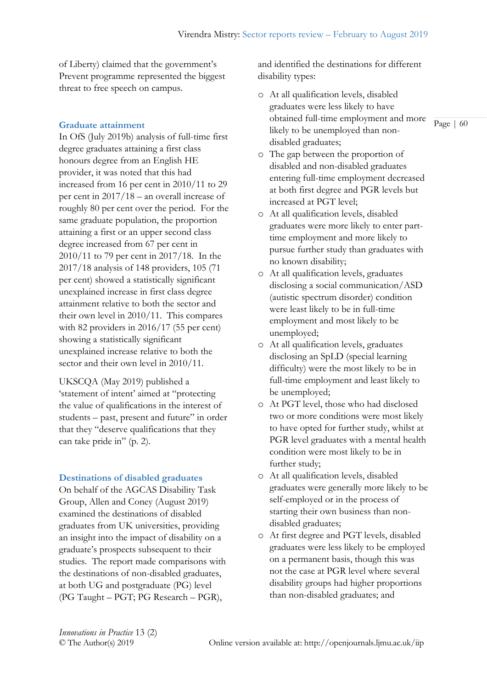of Liberty) claimed that the government's Prevent programme represented the biggest threat to free speech on campus.

## **Graduate attainment**

In OfS (July 2019b) analysis of full-time first degree graduates attaining a first class honours degree from an English HE provider, it was noted that this had increased from 16 per cent in 2010/11 to 29 per cent in 2017/18 – an overall increase of roughly 80 per cent over the period. For the same graduate population, the proportion attaining a first or an upper second class degree increased from 67 per cent in 2010/11 to 79 per cent in 2017/18. In the 2017/18 analysis of 148 providers, 105 (71 per cent) showed a statistically significant unexplained increase in first class degree attainment relative to both the sector and their own level in 2010/11. This compares with 82 providers in 2016/17 (55 per cent) showing a statistically significant unexplained increase relative to both the sector and their own level in 2010/11.

UKSCQA (May 2019) published a 'statement of intent' aimed at "protecting the value of qualifications in the interest of students – past, present and future" in order that they "deserve qualifications that they can take pride in" (p. 2).

## **Destinations of disabled graduates**

On behalf of the AGCAS Disability Task Group, Allen and Coney (August 2019) examined the destinations of disabled graduates from UK universities, providing an insight into the impact of disability on a graduate's prospects subsequent to their studies. The report made comparisons with the destinations of non-disabled graduates, at both UG and postgraduate (PG) level (PG Taught – PGT; PG Research – PGR),

and identified the destinations for different disability types:

- o At all qualification levels, disabled graduates were less likely to have obtained full-time employment and more likely to be unemployed than nondisabled graduates;
- o The gap between the proportion of disabled and non-disabled graduates entering full-time employment decreased at both first degree and PGR levels but increased at PGT level;
- o At all qualification levels, disabled graduates were more likely to enter parttime employment and more likely to pursue further study than graduates with no known disability;
- o At all qualification levels, graduates disclosing a social communication/ASD (autistic spectrum disorder) condition were least likely to be in full-time employment and most likely to be unemployed;
- o At all qualification levels, graduates disclosing an SpLD (special learning difficulty) were the most likely to be in full-time employment and least likely to be unemployed;
- o At PGT level, those who had disclosed two or more conditions were most likely to have opted for further study, whilst at PGR level graduates with a mental health condition were most likely to be in further study;
- o At all qualification levels, disabled graduates were generally more likely to be self-employed or in the process of starting their own business than nondisabled graduates;
- o At first degree and PGT levels, disabled graduates were less likely to be employed on a permanent basis, though this was not the case at PGR level where several disability groups had higher proportions than non-disabled graduates; and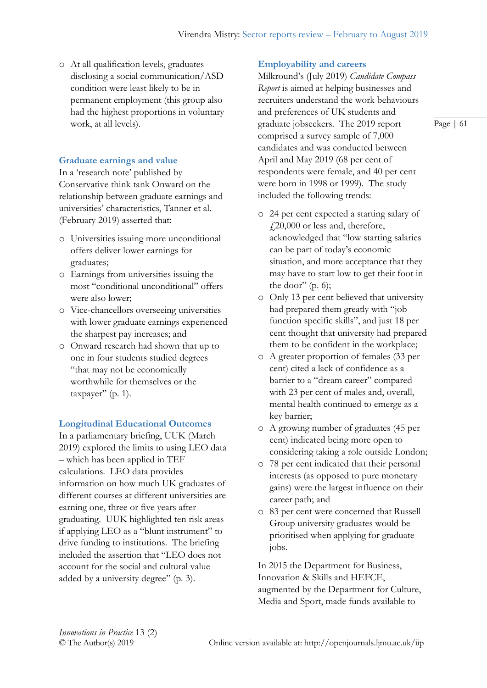o At all qualification levels, graduates disclosing a social communication/ASD condition were least likely to be in permanent employment (this group also had the highest proportions in voluntary work, at all levels).

## **Graduate earnings and value**

In a 'research note' published by Conservative think tank Onward on the relationship between graduate earnings and universities' characteristics, Tanner et al. (February 2019) asserted that:

- o Universities issuing more unconditional offers deliver lower earnings for graduates;
- o Earnings from universities issuing the most "conditional unconditional" offers were also lower;
- o Vice-chancellors overseeing universities with lower graduate earnings experienced the sharpest pay increases; and
- o Onward research had shown that up to one in four students studied degrees "that may not be economically worthwhile for themselves or the taxpayer" (p. 1).

## **Longitudinal Educational Outcomes**

In a parliamentary briefing, UUK (March 2019) explored the limits to using LEO data – which has been applied in TEF calculations. LEO data provides information on how much UK graduates of different courses at different universities are earning one, three or five years after graduating. UUK highlighted ten risk areas if applying LEO as a "blunt instrument" to drive funding to institutions. The briefing included the assertion that "LEO does not account for the social and cultural value added by a university degree" (p. 3).

## **Employability and careers**

Milkround's (July 2019) *Candidate Compass Report* is aimed at helping businesses and recruiters understand the work behaviours and preferences of UK students and graduate jobseekers. The 2019 report comprised a survey sample of 7,000 candidates and was conducted between April and May 2019 (68 per cent of respondents were female, and 40 per cent were born in 1998 or 1999). The study included the following trends:

- o 24 per cent expected a starting salary of  $\text{\emph{4}}20,000$  or less and, therefore, acknowledged that "low starting salaries can be part of today's economic situation, and more acceptance that they may have to start low to get their foot in the door"  $(p. 6)$ ;
- o Only 13 per cent believed that university had prepared them greatly with "job function specific skills", and just 18 per cent thought that university had prepared them to be confident in the workplace;
- o A greater proportion of females (33 per cent) cited a lack of confidence as a barrier to a "dream career" compared with 23 per cent of males and, overall, mental health continued to emerge as a key barrier;
- o A growing number of graduates (45 per cent) indicated being more open to considering taking a role outside London;
- o 78 per cent indicated that their personal interests (as opposed to pure monetary gains) were the largest influence on their career path; and
- o 83 per cent were concerned that Russell Group university graduates would be prioritised when applying for graduate jobs.

In 2015 the Department for Business, Innovation & Skills and HEFCE, augmented by the Department for Culture, Media and Sport, made funds available to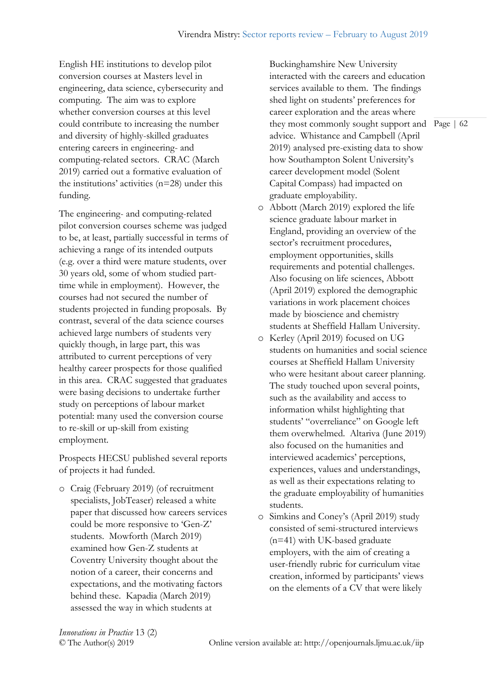English HE institutions to develop pilot conversion courses at Masters level in engineering, data science, cybersecurity and computing. The aim was to explore whether conversion courses at this level could contribute to increasing the number and diversity of highly-skilled graduates entering careers in engineering- and computing-related sectors. CRAC (March 2019) carried out a formative evaluation of the institutions' activities (n=28) under this funding.

The engineering- and computing-related pilot conversion courses scheme was judged to be, at least, partially successful in terms of achieving a range of its intended outputs (e.g. over a third were mature students, over 30 years old, some of whom studied parttime while in employment). However, the courses had not secured the number of students projected in funding proposals. By contrast, several of the data science courses achieved large numbers of students very quickly though, in large part, this was attributed to current perceptions of very healthy career prospects for those qualified in this area. CRAC suggested that graduates were basing decisions to undertake further study on perceptions of labour market potential: many used the conversion course to re-skill or up-skill from existing employment.

Prospects HECSU published several reports of projects it had funded.

o Craig (February 2019) (of recruitment specialists, JobTeaser) released a white paper that discussed how careers services could be more responsive to 'Gen-Z' students. Mowforth (March 2019) examined how Gen-Z students at Coventry University thought about the notion of a career, their concerns and expectations, and the motivating factors behind these. Kapadia (March 2019) assessed the way in which students at

they most commonly sought support and Page | 62 Buckinghamshire New University interacted with the careers and education services available to them. The findings shed light on students' preferences for career exploration and the areas where advice. Whistance and Campbell (April 2019) analysed pre-existing data to show how Southampton Solent University's career development model (Solent Capital Compass) had impacted on graduate employability.

- o Abbott (March 2019) explored the life science graduate labour market in England, providing an overview of the sector's recruitment procedures, employment opportunities, skills requirements and potential challenges. Also focusing on life sciences, Abbott (April 2019) explored the demographic variations in work placement choices made by bioscience and chemistry students at Sheffield Hallam University.
- o Kerley (April 2019) focused on UG students on humanities and social science courses at Sheffield Hallam University who were hesitant about career planning. The study touched upon several points, such as the availability and access to information whilst highlighting that students' "overreliance" on Google left them overwhelmed. Altariva (June 2019) also focused on the humanities and interviewed academics' perceptions, experiences, values and understandings, as well as their expectations relating to the graduate employability of humanities students.
- o Simkins and Coney's (April 2019) study consisted of semi-structured interviews (n=41) with UK-based graduate employers, with the aim of creating a user-friendly rubric for curriculum vitae creation, informed by participants' views on the elements of a CV that were likely

*Innovations in Practice* 13 (2)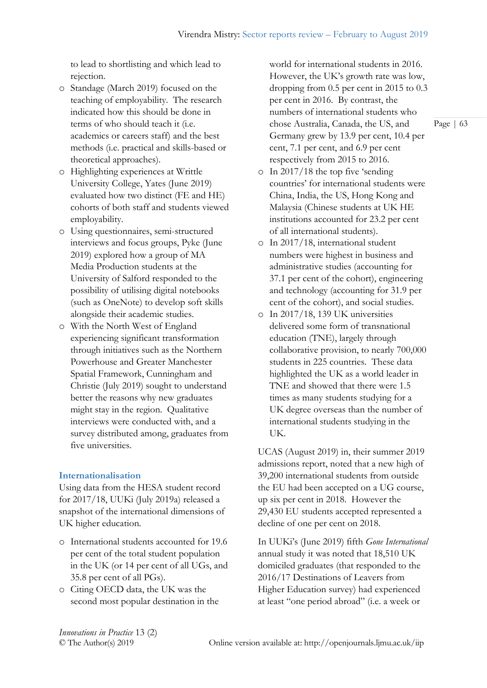to lead to shortlisting and which lead to rejection.

- o Standage (March 2019) focused on the teaching of employability. The research indicated how this should be done in terms of who should teach it (i.e. academics or careers staff) and the best methods (i.e. practical and skills-based or theoretical approaches).
- o Highlighting experiences at Writtle University College, Yates (June 2019) evaluated how two distinct (FE and HE) cohorts of both staff and students viewed employability.
- o Using questionnaires, semi-structured interviews and focus groups, Pyke (June 2019) explored how a group of MA Media Production students at the University of Salford responded to the possibility of utilising digital notebooks (such as OneNote) to develop soft skills alongside their academic studies.
- o With the North West of England experiencing significant transformation through initiatives such as the Northern Powerhouse and Greater Manchester Spatial Framework, Cunningham and Christie (July 2019) sought to understand better the reasons why new graduates might stay in the region. Qualitative interviews were conducted with, and a survey distributed among, graduates from five universities.

## **Internationalisation**

Using data from the HESA student record for 2017/18, UUKi (July 2019a) released a snapshot of the international dimensions of UK higher education.

- o International students accounted for 19.6 per cent of the total student population in the UK (or 14 per cent of all UGs, and 35.8 per cent of all PGs).
- o Citing OECD data, the UK was the second most popular destination in the

world for international students in 2016. However, the UK's growth rate was low, dropping from 0.5 per cent in 2015 to 0.3 per cent in 2016. By contrast, the numbers of international students who chose Australia, Canada, the US, and Germany grew by 13.9 per cent, 10.4 per cent, 7.1 per cent, and 6.9 per cent respectively from 2015 to 2016.

- o In 2017/18 the top five 'sending countries' for international students were China, India, the US, Hong Kong and Malaysia (Chinese students at UK HE institutions accounted for 23.2 per cent of all international students).
- o In 2017/18, international student numbers were highest in business and administrative studies (accounting for 37.1 per cent of the cohort), engineering and technology (accounting for 31.9 per cent of the cohort), and social studies.
- o In 2017/18, 139 UK universities delivered some form of transnational education (TNE), largely through collaborative provision, to nearly 700,000 students in 225 countries. These data highlighted the UK as a world leader in TNE and showed that there were 1.5 times as many students studying for a UK degree overseas than the number of international students studying in the UK.

UCAS (August 2019) in, their summer 2019 admissions report, noted that a new high of 39,200 international students from outside the EU had been accepted on a UG course, up six per cent in 2018. However the 29,430 EU students accepted represented a decline of one per cent on 2018.

In UUKi's (June 2019) fifth *Gone International*  annual study it was noted that 18,510 UK domiciled graduates (that responded to the 2016/17 Destinations of Leavers from Higher Education survey) had experienced at least "one period abroad" (i.e. a week or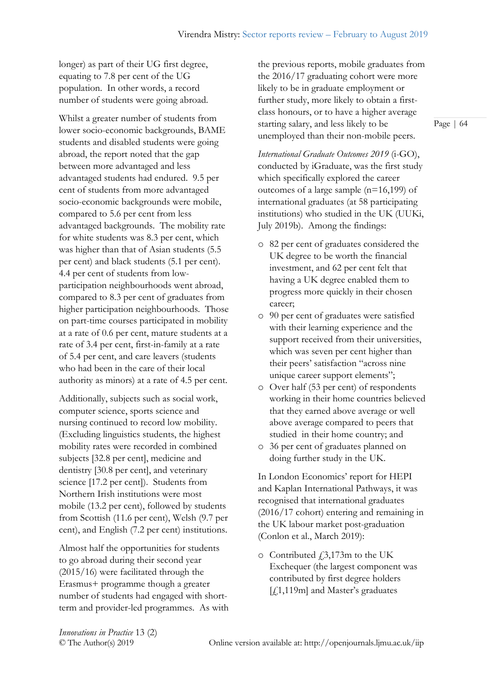longer) as part of their UG first degree, equating to 7.8 per cent of the UG population. In other words, a record number of students were going abroad.

Whilst a greater number of students from lower socio-economic backgrounds, BAME students and disabled students were going abroad, the report noted that the gap between more advantaged and less advantaged students had endured. 9.5 per cent of students from more advantaged socio-economic backgrounds were mobile, compared to 5.6 per cent from less advantaged backgrounds. The mobility rate for white students was 8.3 per cent, which was higher than that of Asian students (5.5 per cent) and black students (5.1 per cent). 4.4 per cent of students from lowparticipation neighbourhoods went abroad, compared to 8.3 per cent of graduates from higher participation neighbourhoods. Those on part-time courses participated in mobility at a rate of 0.6 per cent, mature students at a rate of 3.4 per cent, first-in-family at a rate of 5.4 per cent, and care leavers (students who had been in the care of their local authority as minors) at a rate of 4.5 per cent.

Additionally, subjects such as social work, computer science, sports science and nursing continued to record low mobility. (Excluding linguistics students, the highest mobility rates were recorded in combined subjects [32.8 per cent], medicine and dentistry [30.8 per cent], and veterinary science [17.2 per cent]). Students from Northern Irish institutions were most mobile (13.2 per cent), followed by students from Scottish (11.6 per cent), Welsh (9.7 per cent), and English (7.2 per cent) institutions.

Almost half the opportunities for students to go abroad during their second year (2015/16) were facilitated through the Erasmus+ programme though a greater number of students had engaged with shortterm and provider-led programmes. As with

the previous reports, mobile graduates from the 2016/17 graduating cohort were more likely to be in graduate employment or further study, more likely to obtain a firstclass honours, or to have a higher average starting salary, and less likely to be unemployed than their non-mobile peers.

*International Graduate Outcomes 2019* (i-GO), conducted by iGraduate, was the first study which specifically explored the career outcomes of a large sample (n=16,199) of international graduates (at 58 participating institutions) who studied in the UK (UUKi, July 2019b). Among the findings:

- o 82 per cent of graduates considered the UK degree to be worth the financial investment, and 62 per cent felt that having a UK degree enabled them to progress more quickly in their chosen career;
- o 90 per cent of graduates were satisfied with their learning experience and the support received from their universities, which was seven per cent higher than their peers' satisfaction "across nine unique career support elements";
- o Over half (53 per cent) of respondents working in their home countries believed that they earned above average or well above average compared to peers that studied in their home country; and
- o 36 per cent of graduates planned on doing further study in the UK.

In London Economics' report for HEPI and Kaplan International Pathways, it was recognised that international graduates (2016/17 cohort) entering and remaining in the UK labour market post-graduation (Conlon et al., March 2019):

 $\circ$  Contributed  $\ddagger$ 3,173m to the UK Exchequer (the largest component was contributed by first degree holders [£1,119m] and Master's graduates

*Innovations in Practice* 13 (2)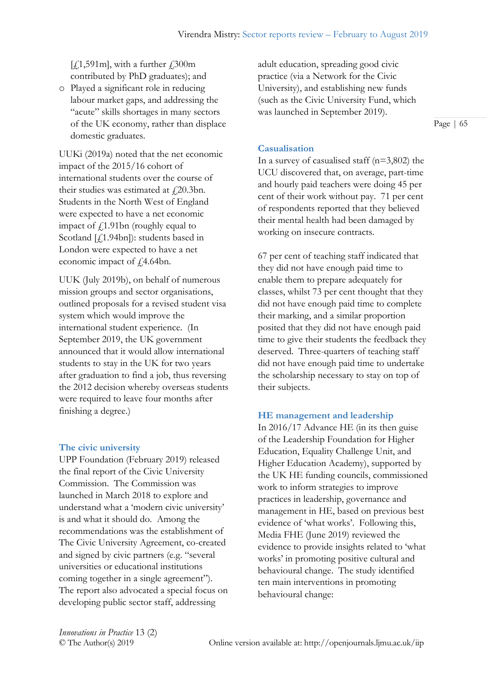$[f(1,591m],$  with a further  $f(300m)$ contributed by PhD graduates); and

o Played a significant role in reducing labour market gaps, and addressing the "acute" skills shortages in many sectors of the UK economy, rather than displace domestic graduates.

UUKi (2019a) noted that the net economic impact of the 2015/16 cohort of international students over the course of their studies was estimated at  $\ell$ 20.3bn. Students in the North West of England were expected to have a net economic impact of  $\ell$ 1.91bn (roughly equal to Scotland [ $f$ 1.94bn]): students based in London were expected to have a net economic impact of  $\sqrt{4.64}$ bn.

UUK (July 2019b), on behalf of numerous mission groups and sector organisations, outlined proposals for a revised student visa system which would improve the international student experience. (In September 2019, the UK government announced that it would allow international students to stay in the UK for two years after graduation to find a job, thus reversing the 2012 decision whereby overseas students were required to leave four months after finishing a degree.)

## **The civic university**

UPP Foundation (February 2019) released the final report of the Civic University Commission. The Commission was launched in March 2018 to explore and understand what a 'modern civic university' is and what it should do. Among the recommendations was the establishment of The Civic University Agreement, co-created and signed by civic partners (e.g. "several universities or educational institutions coming together in a single agreement"). The report also advocated a special focus on developing public sector staff, addressing

adult education, spreading good civic practice (via a Network for the Civic University), and establishing new funds (such as the Civic University Fund, which was launched in September 2019).

Page | 65

## **Casualisation**

In a survey of casualised staff  $(n=3,802)$  the UCU discovered that, on average, part-time and hourly paid teachers were doing 45 per cent of their work without pay. 71 per cent of respondents reported that they believed their mental health had been damaged by working on insecure contracts.

67 per cent of teaching staff indicated that they did not have enough paid time to enable them to prepare adequately for classes, whilst 73 per cent thought that they did not have enough paid time to complete their marking, and a similar proportion posited that they did not have enough paid time to give their students the feedback they deserved. Three-quarters of teaching staff did not have enough paid time to undertake the scholarship necessary to stay on top of their subjects.

## **HE management and leadership**

In 2016/17 Advance HE (in its then guise of the Leadership Foundation for Higher Education, Equality Challenge Unit, and Higher Education Academy), supported by the UK HE funding councils, commissioned work to inform strategies to improve practices in leadership, governance and management in HE, based on previous best evidence of 'what works'. Following this, Media FHE (June 2019) reviewed the evidence to provide insights related to 'what works' in promoting positive cultural and behavioural change. The study identified ten main interventions in promoting behavioural change: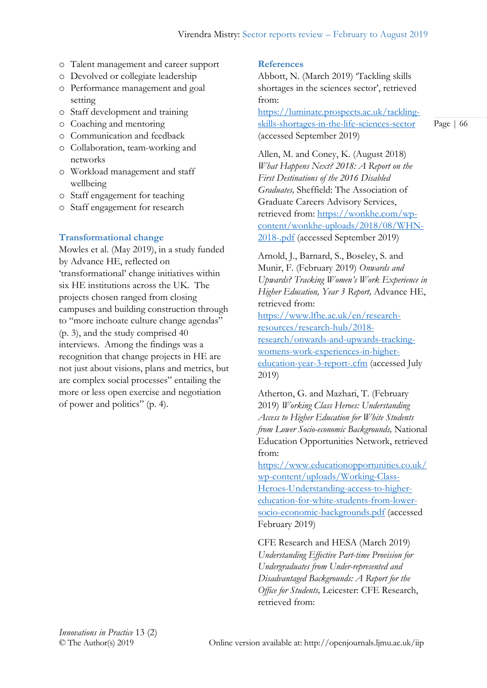- o Talent management and career support
- o Devolved or collegiate leadership
- o Performance management and goal setting
- o Staff development and training
- o Coaching and mentoring
- o Communication and feedback
- o Collaboration, team-working and networks
- o Workload management and staff wellbeing
- o Staff engagement for teaching
- o Staff engagement for research

## **Transformational change**

Mowles et al. (May 2019), in a study funded by Advance HE, reflected on 'transformational' change initiatives within six HE institutions across the UK. The projects chosen ranged from closing campuses and building construction through to "more inchoate culture change agendas" (p. 3), and the study comprised 40 interviews. Among the findings was a recognition that change projects in HE are not just about visions, plans and metrics, but are complex social processes" entailing the more or less open exercise and negotiation of power and politics" (p. 4).

## **References**

Abbott, N. (March 2019) 'Tackling skills shortages in the sciences sector', retrieved from:

[https://luminate.prospects.ac.uk/tackling](https://luminate.prospects.ac.uk/tackling-skills-shortages-in-the-life-sciences-sector)[skills-shortages-in-the-life-sciences-sector](https://luminate.prospects.ac.uk/tackling-skills-shortages-in-the-life-sciences-sector) (accessed September 2019)

Allen, M. and Coney, K. (August 2018) *What Happens Next? 2018: A Report on the First Destinations of the 2016 Disabled Graduates,* Sheffield: The Association of Graduate Careers Advisory Services, retrieved from: [https://wonkhe.com/wp](https://wonkhe.com/wp-content/wonkhe-uploads/2018/08/WHN-2018-.pdf)[content/wonkhe-uploads/2018/08/WHN-](https://wonkhe.com/wp-content/wonkhe-uploads/2018/08/WHN-2018-.pdf)[2018-.pdf](https://wonkhe.com/wp-content/wonkhe-uploads/2018/08/WHN-2018-.pdf) (accessed September 2019)

Arnold, J., Barnard, S., Boseley, S. and Munir, F. (February 2019) *Onwards and Upwards? Tracking Women's Work Experience in Higher Education, Year 3 Report,* Advance HE, retrieved from:

[https://www.lfhe.ac.uk/en/research](https://www.lfhe.ac.uk/en/research-resources/research-hub/2018-research/onwards-and-upwards-tracking-womens-work-experiences-in-higher-education-year-3-report-.cfm)[resources/research-hub/2018](https://www.lfhe.ac.uk/en/research-resources/research-hub/2018-research/onwards-and-upwards-tracking-womens-work-experiences-in-higher-education-year-3-report-.cfm) [research/onwards-and-upwards-tracking](https://www.lfhe.ac.uk/en/research-resources/research-hub/2018-research/onwards-and-upwards-tracking-womens-work-experiences-in-higher-education-year-3-report-.cfm)[womens-work-experiences-in-higher](https://www.lfhe.ac.uk/en/research-resources/research-hub/2018-research/onwards-and-upwards-tracking-womens-work-experiences-in-higher-education-year-3-report-.cfm)[education-year-3-report-.cfm](https://www.lfhe.ac.uk/en/research-resources/research-hub/2018-research/onwards-and-upwards-tracking-womens-work-experiences-in-higher-education-year-3-report-.cfm) (accessed July 2019)

Atherton, G. and Mazhari, T. (February 2019) *Working Class Heroes: Understanding Access to Higher Education for White Students from Lower Socio-economic Backgrounds,* National Education Opportunities Network, retrieved from:

[https://www.educationopportunities.co.uk/](https://www.educationopportunities.co.uk/wp-content/uploads/Working-Class-Heroes-Understanding-access-to-higher-education-for-white-students-from-lower-socio-economic-backgrounds.pdf) [wp-content/uploads/Working-Class-](https://www.educationopportunities.co.uk/wp-content/uploads/Working-Class-Heroes-Understanding-access-to-higher-education-for-white-students-from-lower-socio-economic-backgrounds.pdf)[Heroes-Understanding-access-to-higher](https://www.educationopportunities.co.uk/wp-content/uploads/Working-Class-Heroes-Understanding-access-to-higher-education-for-white-students-from-lower-socio-economic-backgrounds.pdf)[education-for-white-students-from-lower](https://www.educationopportunities.co.uk/wp-content/uploads/Working-Class-Heroes-Understanding-access-to-higher-education-for-white-students-from-lower-socio-economic-backgrounds.pdf)[socio-economic-backgrounds.pdf](https://www.educationopportunities.co.uk/wp-content/uploads/Working-Class-Heroes-Understanding-access-to-higher-education-for-white-students-from-lower-socio-economic-backgrounds.pdf) (accessed February 2019)

CFE Research and HESA (March 2019) *Understanding Effective Part-time Provision for Undergraduates from Under-represented and Disadvantaged Backgrounds: A Report for the Office for Students,* Leicester: CFE Research, retrieved from: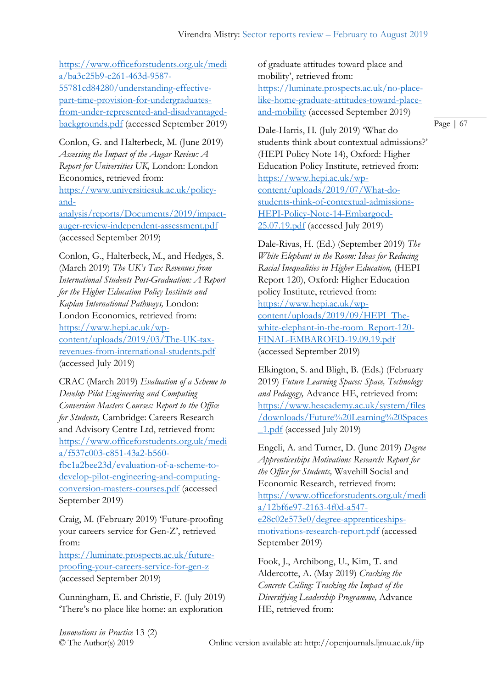[https://www.officeforstudents.org.uk/medi](https://www.officeforstudents.org.uk/media/ba3c25b9-c261-463d-9587-55781cd84280/understanding-effective-part-time-provision-for-undergraduates-from-under-represented-and-disadvantaged-backgrounds.pdf) [a/ba3c25b9-c261-463d-9587-](https://www.officeforstudents.org.uk/media/ba3c25b9-c261-463d-9587-55781cd84280/understanding-effective-part-time-provision-for-undergraduates-from-under-represented-and-disadvantaged-backgrounds.pdf) [55781cd84280/understanding-effective](https://www.officeforstudents.org.uk/media/ba3c25b9-c261-463d-9587-55781cd84280/understanding-effective-part-time-provision-for-undergraduates-from-under-represented-and-disadvantaged-backgrounds.pdf)[part-time-provision-for-undergraduates](https://www.officeforstudents.org.uk/media/ba3c25b9-c261-463d-9587-55781cd84280/understanding-effective-part-time-provision-for-undergraduates-from-under-represented-and-disadvantaged-backgrounds.pdf)[from-under-represented-and-disadvantaged](https://www.officeforstudents.org.uk/media/ba3c25b9-c261-463d-9587-55781cd84280/understanding-effective-part-time-provision-for-undergraduates-from-under-represented-and-disadvantaged-backgrounds.pdf)[backgrounds.pdf](https://www.officeforstudents.org.uk/media/ba3c25b9-c261-463d-9587-55781cd84280/understanding-effective-part-time-provision-for-undergraduates-from-under-represented-and-disadvantaged-backgrounds.pdf) (accessed September 2019)

Conlon, G. and Halterbeck, M. (June 2019) *Assessing the Impact of the Augar Review: A Report for Universities UK,* London: London Economics, retrieved from: [https://www.universitiesuk.ac.uk/policy](https://www.universitiesuk.ac.uk/policy-and-analysis/reports/Documents/2019/impact-auger-review-independent-assessment.pdf)[and](https://www.universitiesuk.ac.uk/policy-and-analysis/reports/Documents/2019/impact-auger-review-independent-assessment.pdf)[analysis/reports/Documents/2019/impact](https://www.universitiesuk.ac.uk/policy-and-analysis/reports/Documents/2019/impact-auger-review-independent-assessment.pdf)[auger-review-independent-assessment.pdf](https://www.universitiesuk.ac.uk/policy-and-analysis/reports/Documents/2019/impact-auger-review-independent-assessment.pdf)

(accessed September 2019)

Conlon, G., Halterbeck, M., and Hedges, S. (March 2019) *The UK's Tax Revenues from International Students Post-Graduation: A Report for the Higher Education Policy Institute and Kaplan International Pathways,* London: London Economics, retrieved from: [https://www.hepi.ac.uk/wp](https://www.hepi.ac.uk/wp-content/uploads/2019/03/The-UK-tax-revenues-from-international-students.pdf)[content/uploads/2019/03/The-UK-tax](https://www.hepi.ac.uk/wp-content/uploads/2019/03/The-UK-tax-revenues-from-international-students.pdf)[revenues-from-international-students.pdf](https://www.hepi.ac.uk/wp-content/uploads/2019/03/The-UK-tax-revenues-from-international-students.pdf) (accessed July 2019)

CRAC (March 2019) *Evaluation of a Scheme to Develop Pilot Engineering and Computing Conversion Masters Courses: Report to the Office for Students,* Cambridge: Careers Research and Advisory Centre Ltd, retrieved from: [https://www.officeforstudents.org.uk/medi](https://www.officeforstudents.org.uk/media/f537c003-c851-43a2-b560-fbc1a2bee23d/evaluation-of-a-scheme-to-develop-pilot-engineering-and-computing-conversion-masters-courses.pdf) [a/f537c003-c851-43a2-b560](https://www.officeforstudents.org.uk/media/f537c003-c851-43a2-b560-fbc1a2bee23d/evaluation-of-a-scheme-to-develop-pilot-engineering-and-computing-conversion-masters-courses.pdf) [fbc1a2bee23d/evaluation-of-a-scheme-to](https://www.officeforstudents.org.uk/media/f537c003-c851-43a2-b560-fbc1a2bee23d/evaluation-of-a-scheme-to-develop-pilot-engineering-and-computing-conversion-masters-courses.pdf)[develop-pilot-engineering-and-computing](https://www.officeforstudents.org.uk/media/f537c003-c851-43a2-b560-fbc1a2bee23d/evaluation-of-a-scheme-to-develop-pilot-engineering-and-computing-conversion-masters-courses.pdf)[conversion-masters-courses.pdf](https://www.officeforstudents.org.uk/media/f537c003-c851-43a2-b560-fbc1a2bee23d/evaluation-of-a-scheme-to-develop-pilot-engineering-and-computing-conversion-masters-courses.pdf) (accessed September 2019)

Craig, M. (February 2019) 'Future-proofing your careers service for Gen-Z', retrieved from:

[https://luminate.prospects.ac.uk/future](https://luminate.prospects.ac.uk/future-proofing-your-careers-service-for-gen-z)[proofing-your-careers-service-for-gen-z](https://luminate.prospects.ac.uk/future-proofing-your-careers-service-for-gen-z) (accessed September 2019)

Cunningham, E. and Christie, F. (July 2019) 'There's no place like home: an exploration

of graduate attitudes toward place and mobility', retrieved from: [https://luminate.prospects.ac.uk/no-place](https://luminate.prospects.ac.uk/no-place-like-home-graduate-attitudes-toward-place-and-mobility)[like-home-graduate-attitudes-toward-place](https://luminate.prospects.ac.uk/no-place-like-home-graduate-attitudes-toward-place-and-mobility)[and-mobility](https://luminate.prospects.ac.uk/no-place-like-home-graduate-attitudes-toward-place-and-mobility) (accessed September 2019)

Dale-Harris, H. (July 2019) 'What do students think about contextual admissions?' (HEPI Policy Note 14), Oxford: Higher Education Policy Institute, retrieved from: [https://www.hepi.ac.uk/wp](https://www.hepi.ac.uk/wp-content/uploads/2019/07/What-do-students-think-of-contextual-admissions-HEPI-Policy-Note-14-Embargoed-25.07.19.pdf)[content/uploads/2019/07/What-do](https://www.hepi.ac.uk/wp-content/uploads/2019/07/What-do-students-think-of-contextual-admissions-HEPI-Policy-Note-14-Embargoed-25.07.19.pdf)[students-think-of-contextual-admissions-](https://www.hepi.ac.uk/wp-content/uploads/2019/07/What-do-students-think-of-contextual-admissions-HEPI-Policy-Note-14-Embargoed-25.07.19.pdf)[HEPI-Policy-Note-14-Embargoed-](https://www.hepi.ac.uk/wp-content/uploads/2019/07/What-do-students-think-of-contextual-admissions-HEPI-Policy-Note-14-Embargoed-25.07.19.pdf)[25.07.19.pdf](https://www.hepi.ac.uk/wp-content/uploads/2019/07/What-do-students-think-of-contextual-admissions-HEPI-Policy-Note-14-Embargoed-25.07.19.pdf) (accessed July 2019)

Dale-Rivas, H. (Ed.) (September 2019) *The White Elephant in the Room: Ideas for Reducing Racial Inequalities in Higher Education,* (HEPI Report 120), Oxford: Higher Education policy Institute, retrieved from: [https://www.hepi.ac.uk/wp](https://www.hepi.ac.uk/wp-content/uploads/2019/09/HEPI_The-white-elephant-in-the-room_Report-120-FINAL-EMBAROED-19.09.19.pdf)[content/uploads/2019/09/HEPI\\_The](https://www.hepi.ac.uk/wp-content/uploads/2019/09/HEPI_The-white-elephant-in-the-room_Report-120-FINAL-EMBAROED-19.09.19.pdf)[white-elephant-in-the-room\\_Report-120-](https://www.hepi.ac.uk/wp-content/uploads/2019/09/HEPI_The-white-elephant-in-the-room_Report-120-FINAL-EMBAROED-19.09.19.pdf) [FINAL-EMBAROED-19.09.19.pdf](https://www.hepi.ac.uk/wp-content/uploads/2019/09/HEPI_The-white-elephant-in-the-room_Report-120-FINAL-EMBAROED-19.09.19.pdf) (accessed September 2019)

Elkington, S. and Bligh, B. (Eds.) (February 2019) *Future Learning Spaces: Space, Technology and Pedagogy,* Advance HE, retrieved from: [https://www.heacademy.ac.uk/system/files](https://www.heacademy.ac.uk/system/files/downloads/Future%20Learning%20Spaces_1.pdf) [/downloads/Future%20Learning%20Spaces](https://www.heacademy.ac.uk/system/files/downloads/Future%20Learning%20Spaces_1.pdf) [\\_1.pdf](https://www.heacademy.ac.uk/system/files/downloads/Future%20Learning%20Spaces_1.pdf) (accessed July 2019)

Engeli, A. and Turner, D. (June 2019) *Degree Apprenticeships Motivations Research: Report for the Office for Students,* Wavehill Social and Economic Research, retrieved from: [https://www.officeforstudents.org.uk/medi](https://www.officeforstudents.org.uk/media/12bf6e97-2163-4f0d-a547-e28c02e573e0/degree-apprenticeships-motivations-research-report.pdf) [a/12bf6e97-2163-4f0d-a547](https://www.officeforstudents.org.uk/media/12bf6e97-2163-4f0d-a547-e28c02e573e0/degree-apprenticeships-motivations-research-report.pdf) [e28c02e573e0/degree-apprenticeships](https://www.officeforstudents.org.uk/media/12bf6e97-2163-4f0d-a547-e28c02e573e0/degree-apprenticeships-motivations-research-report.pdf)[motivations-research-report.pdf](https://www.officeforstudents.org.uk/media/12bf6e97-2163-4f0d-a547-e28c02e573e0/degree-apprenticeships-motivations-research-report.pdf) (accessed September 2019)

Fook, J., Archibong, U., Kim, T. and Aldercotte, A. (May 2019) *Cracking the Concrete Ceiling: Tracking the Impact of the Diversifying Leadership Programme,* Advance HE, retrieved from:

*Innovations in Practice* 13 (2)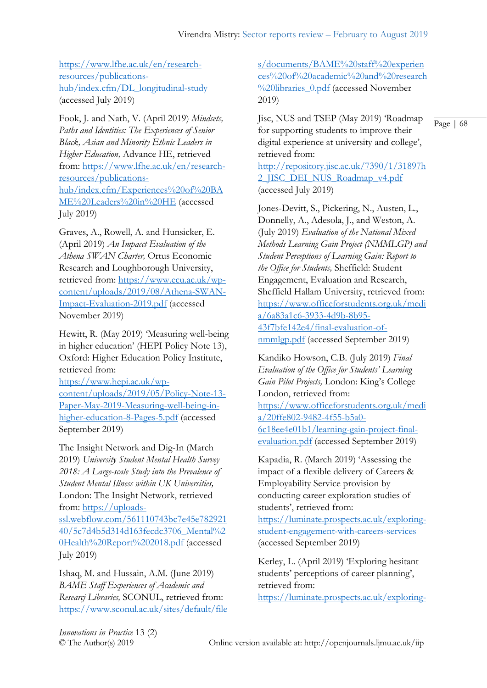[https://www.lfhe.ac.uk/en/research](https://www.lfhe.ac.uk/en/research-resources/publications-hub/index.cfm/DL_longitudinal-study)[resources/publications](https://www.lfhe.ac.uk/en/research-resources/publications-hub/index.cfm/DL_longitudinal-study)[hub/index.cfm/DL\\_longitudinal-study](https://www.lfhe.ac.uk/en/research-resources/publications-hub/index.cfm/DL_longitudinal-study) (accessed July 2019)

Fook, J. and Nath, V. (April 2019) *Mindsets, Paths and Identities: The Experiences of Senior Black, Asian and Minority Ethnic Leaders in Higher Education,* Advance HE, retrieved from: [https://www.lfhe.ac.uk/en/research](https://www.lfhe.ac.uk/en/research-resources/publications-hub/index.cfm/Experiences%20of%20BAME%20Leaders%20in%20HE)[resources/publications](https://www.lfhe.ac.uk/en/research-resources/publications-hub/index.cfm/Experiences%20of%20BAME%20Leaders%20in%20HE)[hub/index.cfm/Experiences%20of%20BA](https://www.lfhe.ac.uk/en/research-resources/publications-hub/index.cfm/Experiences%20of%20BAME%20Leaders%20in%20HE) [ME%20Leaders%20in%20HE](https://www.lfhe.ac.uk/en/research-resources/publications-hub/index.cfm/Experiences%20of%20BAME%20Leaders%20in%20HE) (accessed July 2019)

Graves, A., Rowell, A. and Hunsicker, E. (April 2019) *An Impacct Evaluation of the Athena SWAN Charter,* Ortus Economic Research and Loughborough University, retrieved from: [https://www.ecu.ac.uk/wp](https://www.ecu.ac.uk/wp-content/uploads/2019/08/Athena-SWAN-Impact-Evaluation-2019.pdf)[content/uploads/2019/08/Athena-SWAN-](https://www.ecu.ac.uk/wp-content/uploads/2019/08/Athena-SWAN-Impact-Evaluation-2019.pdf)[Impact-Evaluation-2019.pdf](https://www.ecu.ac.uk/wp-content/uploads/2019/08/Athena-SWAN-Impact-Evaluation-2019.pdf) (accessed November 2019)

Hewitt, R. (May 2019) 'Measuring well-being in higher education' (HEPI Policy Note 13), Oxford: Higher Education Policy Institute, retrieved from:

[https://www.hepi.ac.uk/wp](https://www.hepi.ac.uk/wp-content/uploads/2019/05/Policy-Note-13-Paper-May-2019-Measuring-well-being-in-higher-education-8-Pages-5.pdf)[content/uploads/2019/05/Policy-Note-13-](https://www.hepi.ac.uk/wp-content/uploads/2019/05/Policy-Note-13-Paper-May-2019-Measuring-well-being-in-higher-education-8-Pages-5.pdf) [Paper-May-2019-Measuring-well-being-in](https://www.hepi.ac.uk/wp-content/uploads/2019/05/Policy-Note-13-Paper-May-2019-Measuring-well-being-in-higher-education-8-Pages-5.pdf)[higher-education-8-Pages-5.pdf](https://www.hepi.ac.uk/wp-content/uploads/2019/05/Policy-Note-13-Paper-May-2019-Measuring-well-being-in-higher-education-8-Pages-5.pdf) (accessed September 2019)

The Insight Network and Dig-In (March 2019) *University Student Mental Health Survey 2018: A Large-scale Study into the Prevalence of Student Mental Illness within UK Universities,*  London: The Insight Network, retrieved from: [https://uploads-](https://uploads-ssl.webflow.com/561110743bc7e45e78292140/5c7d4b5d314d163fecdc3706_Mental%20Health%20Report%202018.pdf)

[ssl.webflow.com/561110743bc7e45e782921](https://uploads-ssl.webflow.com/561110743bc7e45e78292140/5c7d4b5d314d163fecdc3706_Mental%20Health%20Report%202018.pdf) [40/5c7d4b5d314d163fecdc3706\\_Mental%2](https://uploads-ssl.webflow.com/561110743bc7e45e78292140/5c7d4b5d314d163fecdc3706_Mental%20Health%20Report%202018.pdf) [0Health%20Report%202018.pdf](https://uploads-ssl.webflow.com/561110743bc7e45e78292140/5c7d4b5d314d163fecdc3706_Mental%20Health%20Report%202018.pdf) (accessed July 2019)

Ishaq, M. and Hussain, A.M. (June 2019) *BAME Staff Experiences of Academic and Researcj Libraries,* SCONUL, retrieved from: [https://www.sconul.ac.uk/sites/default/file](https://www.sconul.ac.uk/sites/default/files/documents/BAME%20staff%20experiences%20of%20academic%20and%20research%20libraries_0.pdf)

[s/documents/BAME%20staff%20experien](https://www.sconul.ac.uk/sites/default/files/documents/BAME%20staff%20experiences%20of%20academic%20and%20research%20libraries_0.pdf) [ces%20of%20academic%20and%20research](https://www.sconul.ac.uk/sites/default/files/documents/BAME%20staff%20experiences%20of%20academic%20and%20research%20libraries_0.pdf) [%20libraries\\_0.pdf](https://www.sconul.ac.uk/sites/default/files/documents/BAME%20staff%20experiences%20of%20academic%20and%20research%20libraries_0.pdf) (accessed November 2019)

Jisc, NUS and TSEP (May 2019) 'Roadmap for supporting students to improve their digital experience at university and college', retrieved from:

[http://repository.jisc.ac.uk/7390/1/31897h](http://repository.jisc.ac.uk/7390/1/31897h2_JISC_DEI_NUS_Roadmap_v4.pdf) 2 JISC DEI NUS Roadmap v4.pdf (accessed July 2019)

Jones-Devitt, S., Pickering, N., Austen, L., Donnelly, A., Adesola, J., and Weston, A. (July 2019) *Evaluation of the National Mixed Methods Learning Gain Project (NMMLGP) and Student Perceptions of Learning Gain: Report to the Office for Students,* Sheffield: Student Engagement, Evaluation and Research, Sheffield Hallam University, retrieved from: [https://www.officeforstudents.org.uk/medi](https://www.officeforstudents.org.uk/media/6a83a1c6-3933-4d9b-8b95-43f7bfe142e4/final-evaluation-of-nmmlgp.pdf) [a/6a83a1c6-3933-4d9b-8b95-](https://www.officeforstudents.org.uk/media/6a83a1c6-3933-4d9b-8b95-43f7bfe142e4/final-evaluation-of-nmmlgp.pdf) [43f7bfe142e4/final-evaluation-of](https://www.officeforstudents.org.uk/media/6a83a1c6-3933-4d9b-8b95-43f7bfe142e4/final-evaluation-of-nmmlgp.pdf)[nmmlgp.pdf](https://www.officeforstudents.org.uk/media/6a83a1c6-3933-4d9b-8b95-43f7bfe142e4/final-evaluation-of-nmmlgp.pdf) (accessed September 2019)

Kandiko Howson, C.B. (July 2019) *Final Evaluation of the Office for Students' Learning Gain Pilot Projects,* London: King's College London, retrieved from: [https://www.officeforstudents.org.uk/medi](https://www.officeforstudents.org.uk/media/20ffe802-9482-4f55-b5a0-6c18ee4e01b1/learning-gain-project-final-evaluation.pdf) [a/20ffe802-9482-4f55-b5a0-](https://www.officeforstudents.org.uk/media/20ffe802-9482-4f55-b5a0-6c18ee4e01b1/learning-gain-project-final-evaluation.pdf) [6c18ee4e01b1/learning-gain-project-final](https://www.officeforstudents.org.uk/media/20ffe802-9482-4f55-b5a0-6c18ee4e01b1/learning-gain-project-final-evaluation.pdf)[evaluation.pdf](https://www.officeforstudents.org.uk/media/20ffe802-9482-4f55-b5a0-6c18ee4e01b1/learning-gain-project-final-evaluation.pdf) (accessed September 2019)

Kapadia, R. (March 2019) 'Assessing the impact of a flexible delivery of Careers & Employability Service provision by conducting career exploration studies of students', retrieved from: [https://luminate.prospects.ac.uk/exploring](https://luminate.prospects.ac.uk/exploring-student-engagement-with-careers-services)[student-engagement-with-careers-services](https://luminate.prospects.ac.uk/exploring-student-engagement-with-careers-services) (accessed September 2019)

Kerley, L. (April 2019) 'Exploring hesitant students' perceptions of career planning', retrieved from: [https://luminate.prospects.ac.uk/exploring-](https://luminate.prospects.ac.uk/exploring-hesitant-students-perceptions-of-career-planning)

*Innovations in Practice* 13 (2)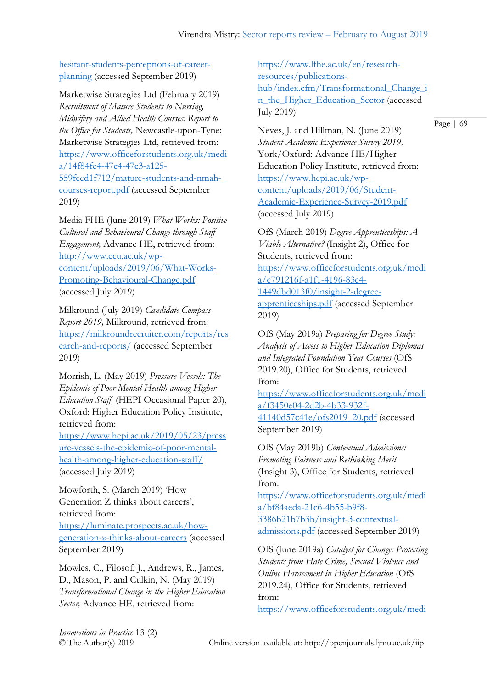[hesitant-students-perceptions-of-career](https://luminate.prospects.ac.uk/exploring-hesitant-students-perceptions-of-career-planning)[planning](https://luminate.prospects.ac.uk/exploring-hesitant-students-perceptions-of-career-planning) (accessed September 2019)

Marketwise Strategies Ltd (February 2019) *Recruitment of Mature Students to Nursing, Midwifery and Allied Health Courses: Report to the Office for Students,* Newcastle-upon-Tyne: Marketwise Strategies Ltd, retrieved from: [https://www.officeforstudents.org.uk/medi](https://www.officeforstudents.org.uk/media/14f84fe4-47c4-47c3-a125-559feed1f712/mature-students-and-nmah-courses-report.pdf) [a/14f84fe4-47c4-47c3-a125-](https://www.officeforstudents.org.uk/media/14f84fe4-47c4-47c3-a125-559feed1f712/mature-students-and-nmah-courses-report.pdf) [559feed1f712/mature-students-and-nmah](https://www.officeforstudents.org.uk/media/14f84fe4-47c4-47c3-a125-559feed1f712/mature-students-and-nmah-courses-report.pdf)[courses-report.pdf](https://www.officeforstudents.org.uk/media/14f84fe4-47c4-47c3-a125-559feed1f712/mature-students-and-nmah-courses-report.pdf) (accessed September 2019)

Media FHE (June 2019) *What Works: Positive Cultural and Behavioural Change through Staff Engagement,* Advance HE, retrieved from: [http://www.ecu.ac.uk/wp](http://www.ecu.ac.uk/wp-content/uploads/2019/06/What-Works-Promoting-Behavioural-Change.pdf)[content/uploads/2019/06/What-Works-](http://www.ecu.ac.uk/wp-content/uploads/2019/06/What-Works-Promoting-Behavioural-Change.pdf)[Promoting-Behavioural-Change.pdf](http://www.ecu.ac.uk/wp-content/uploads/2019/06/What-Works-Promoting-Behavioural-Change.pdf) (accessed July 2019)

Milkround (July 2019) *Candidate Compass Report 2019,* Milkround, retrieved from: [https://milkroundrecruiter.com/reports/res](https://milkroundrecruiter.com/reports/research-and-reports/) [earch-and-reports/](https://milkroundrecruiter.com/reports/research-and-reports/) (accessed September 2019)

Morrish, L. (May 2019) *Pressure Vessels: The Epidemic of Poor Mental Health among Higher Education Staff,* (HEPI Occasional Paper 20), Oxford: Higher Education Policy Institute, retrieved from:

[https://www.hepi.ac.uk/2019/05/23/press](https://www.hepi.ac.uk/2019/05/23/pressure-vessels-the-epidemic-of-poor-mental-health-among-higher-education-staff/) [ure-vessels-the-epidemic-of-poor-mental](https://www.hepi.ac.uk/2019/05/23/pressure-vessels-the-epidemic-of-poor-mental-health-among-higher-education-staff/)[health-among-higher-education-staff/](https://www.hepi.ac.uk/2019/05/23/pressure-vessels-the-epidemic-of-poor-mental-health-among-higher-education-staff/) (accessed July 2019)

Mowforth, S. (March 2019) 'How Generation Z thinks about careers', retrieved from: [https://luminate.prospects.ac.uk/how](https://luminate.prospects.ac.uk/how-generation-z-thinks-about-careers)[generation-z-thinks-about-careers](https://luminate.prospects.ac.uk/how-generation-z-thinks-about-careers) (accessed September 2019)

Mowles, C., Filosof, J., Andrews, R., James, D., Mason, P. and Culkin, N. (May 2019) *Transformational Change in the Higher Education Sector,* Advance HE, retrieved from:

[https://www.lfhe.ac.uk/en/research](https://www.lfhe.ac.uk/en/research-resources/publications-hub/index.cfm/Transformational_Change_in_the_Higher_Education_Sector)[resources/publications](https://www.lfhe.ac.uk/en/research-resources/publications-hub/index.cfm/Transformational_Change_in_the_Higher_Education_Sector)[hub/index.cfm/Transformational\\_Change\\_i](https://www.lfhe.ac.uk/en/research-resources/publications-hub/index.cfm/Transformational_Change_in_the_Higher_Education_Sector) [n\\_the\\_Higher\\_Education\\_Sector](https://www.lfhe.ac.uk/en/research-resources/publications-hub/index.cfm/Transformational_Change_in_the_Higher_Education_Sector) (accessed July 2019)

Neves, J. and Hillman, N. (June 2019) *Student Academic Experience Survey 2019,*  York/Oxford: Advance HE/Higher Education Policy Institute, retrieved from: [https://www.hepi.ac.uk/wp](https://www.hepi.ac.uk/wp-content/uploads/2019/06/Student-Academic-Experience-Survey-2019.pdf)[content/uploads/2019/06/Student-](https://www.hepi.ac.uk/wp-content/uploads/2019/06/Student-Academic-Experience-Survey-2019.pdf)[Academic-Experience-Survey-2019.pdf](https://www.hepi.ac.uk/wp-content/uploads/2019/06/Student-Academic-Experience-Survey-2019.pdf) (accessed July 2019)

OfS (March 2019) *Degree Apprenticeships: A Viable Alternative?* (Insight 2), Office for Students, retrieved from: [https://www.officeforstudents.org.uk/medi](https://www.officeforstudents.org.uk/media/c791216f-a1f1-4196-83c4-1449dbd013f0/insight-2-degree-apprenticeships.pdf) [a/c791216f-a1f1-4196-83c4-](https://www.officeforstudents.org.uk/media/c791216f-a1f1-4196-83c4-1449dbd013f0/insight-2-degree-apprenticeships.pdf) [1449dbd013f0/insight-2-degree](https://www.officeforstudents.org.uk/media/c791216f-a1f1-4196-83c4-1449dbd013f0/insight-2-degree-apprenticeships.pdf)[apprenticeships.pdf](https://www.officeforstudents.org.uk/media/c791216f-a1f1-4196-83c4-1449dbd013f0/insight-2-degree-apprenticeships.pdf) (accessed September 2019)

OfS (May 2019a) *Preparing for Degree Study: Analysis of Access to Higher Education Diplomas and Integrated Foundation Year Courses* (OfS 2019.20), Office for Students, retrieved from:

[https://www.officeforstudents.org.uk/medi](https://www.officeforstudents.org.uk/media/f3450e04-2d2b-4b33-932f-41140d57c41e/ofs2019_20.pdf) [a/f3450e04-2d2b-4b33-932f-](https://www.officeforstudents.org.uk/media/f3450e04-2d2b-4b33-932f-41140d57c41e/ofs2019_20.pdf)[41140d57c41e/ofs2019\\_20.pdf](https://www.officeforstudents.org.uk/media/f3450e04-2d2b-4b33-932f-41140d57c41e/ofs2019_20.pdf) (accessed September 2019)

OfS (May 2019b) *Contextual Admissions: Promoting Fairness and Rethinking Merit*  (Insight 3), Office for Students, retrieved from:

[https://www.officeforstudents.org.uk/medi](https://www.officeforstudents.org.uk/media/bf84aeda-21c6-4b55-b9f8-3386b21b7b3b/insight-3-contextual-admissions.pdf) [a/bf84aeda-21c6-4b55-b9f8-](https://www.officeforstudents.org.uk/media/bf84aeda-21c6-4b55-b9f8-3386b21b7b3b/insight-3-contextual-admissions.pdf) [3386b21b7b3b/insight-3-contextual](https://www.officeforstudents.org.uk/media/bf84aeda-21c6-4b55-b9f8-3386b21b7b3b/insight-3-contextual-admissions.pdf)[admissions.pdf](https://www.officeforstudents.org.uk/media/bf84aeda-21c6-4b55-b9f8-3386b21b7b3b/insight-3-contextual-admissions.pdf) (accessed September 2019)

OfS (June 2019a) *Catalyst for Change: Protecting Students from Hate Crime, Sexual Violence and Online Harassment in Higher Education* (OfS 2019.24), Office for Students, retrieved from:

[https://www.officeforstudents.org.uk/medi](https://www.officeforstudents.org.uk/media/a012d727-7262-421b-ad2b-1f4fc9f75135/catalyst-for-change.pdf)

*Innovations in Practice* 13 (2)

© The Author(s) 2019 Online version available at: http://openjournals.ljmu.ac.uk/iip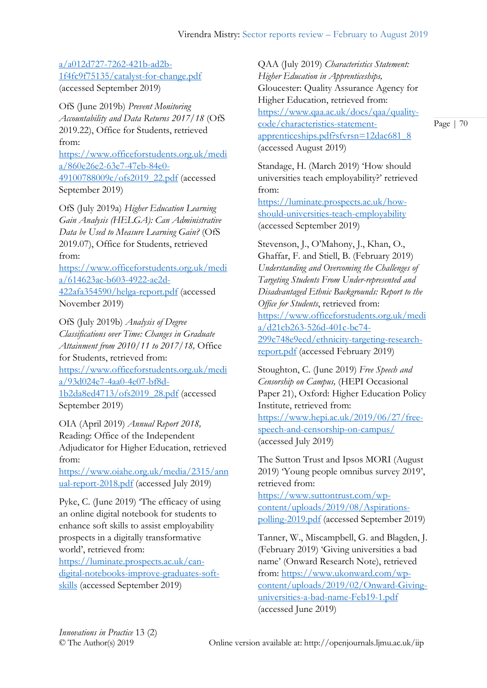[a/a012d727-7262-421b-ad2b-](https://www.officeforstudents.org.uk/media/a012d727-7262-421b-ad2b-1f4fc9f75135/catalyst-for-change.pdf)[1f4fc9f75135/catalyst-for-change.pdf](https://www.officeforstudents.org.uk/media/a012d727-7262-421b-ad2b-1f4fc9f75135/catalyst-for-change.pdf) (accessed September 2019)

OfS (June 2019b) *Prevent Monitoring Accountability and Data Returns 2017/18* (OfS 2019.22), Office for Students, retrieved from:

[https://www.officeforstudents.org.uk/medi](https://www.officeforstudents.org.uk/media/860e26e2-63e7-47eb-84e0-49100788009c/ofs2019_22.pdf) [a/860e26e2-63e7-47eb-84e0-](https://www.officeforstudents.org.uk/media/860e26e2-63e7-47eb-84e0-49100788009c/ofs2019_22.pdf) [49100788009c/ofs2019\\_22.pdf](https://www.officeforstudents.org.uk/media/860e26e2-63e7-47eb-84e0-49100788009c/ofs2019_22.pdf) (accessed September 2019)

OfS (July 2019a) *Higher Education Learning Gain Analysis (HELGA): Can Administrative Data be Used to Measure Learning Gain?* (OfS 2019.07), Office for Students, retrieved from:

[https://www.officeforstudents.org.uk/medi](https://www.officeforstudents.org.uk/media/614623ac-b603-4922-ae2d-422afa354590/helga-report.pdf) [a/614623ac-b603-4922-ae2d-](https://www.officeforstudents.org.uk/media/614623ac-b603-4922-ae2d-422afa354590/helga-report.pdf)[422afa354590/helga-report.pdf](https://www.officeforstudents.org.uk/media/614623ac-b603-4922-ae2d-422afa354590/helga-report.pdf) (accessed November 2019)

OfS (July 2019b) *Analysis of Degree Classifications over Time: Changes in Graduate Attainment from 2010/11 to 2017/18,* Office for Students, retrieved from: [https://www.officeforstudents.org.uk/medi](https://www.officeforstudents.org.uk/media/93d024e7-4aa0-4e07-bf8d-1b2da8ed4713/ofs2019_28.pdf) [a/93d024e7-4aa0-4e07-bf8d-](https://www.officeforstudents.org.uk/media/93d024e7-4aa0-4e07-bf8d-1b2da8ed4713/ofs2019_28.pdf)[1b2da8ed4713/ofs2019\\_28.pdf](https://www.officeforstudents.org.uk/media/93d024e7-4aa0-4e07-bf8d-1b2da8ed4713/ofs2019_28.pdf) (accessed September 2019)

OIA (April 2019) *Annual Report 2018,*  Reading: Office of the Independent Adjudicator for Higher Education, retrieved from:

[https://www.oiahe.org.uk/media/2315/ann](https://www.oiahe.org.uk/media/2315/annual-report-2018.pdf) [ual-report-2018.pdf](https://www.oiahe.org.uk/media/2315/annual-report-2018.pdf) (accessed July 2019)

Pyke, C. (June 2019) 'The efficacy of using an online digital notebook for students to enhance soft skills to assist employability prospects in a digitally transformative world', retrieved from:

[https://luminate.prospects.ac.uk/can](https://luminate.prospects.ac.uk/can-digital-notebooks-improve-graduates-soft-skills)[digital-notebooks-improve-graduates-soft](https://luminate.prospects.ac.uk/can-digital-notebooks-improve-graduates-soft-skills)[skills](https://luminate.prospects.ac.uk/can-digital-notebooks-improve-graduates-soft-skills) (accessed September 2019)

QAA (July 2019) *Characteristics Statement: Higher Education in Apprenticeships,*  Gloucester: Quality Assurance Agency for Higher Education, retrieved from: [https://www.qaa.ac.uk/docs/qaa/quality](https://www.qaa.ac.uk/docs/qaa/quality-code/characteristics-statement-apprenticeships.pdf?sfvrsn=12dac681_8)[code/characteristics-statement](https://www.qaa.ac.uk/docs/qaa/quality-code/characteristics-statement-apprenticeships.pdf?sfvrsn=12dac681_8)[apprenticeships.pdf?sfvrsn=12dac681\\_8](https://www.qaa.ac.uk/docs/qaa/quality-code/characteristics-statement-apprenticeships.pdf?sfvrsn=12dac681_8) (accessed August 2019)

Standage, H. (March 2019) 'How should universities teach employability?' retrieved from:

[https://luminate.prospects.ac.uk/how](https://luminate.prospects.ac.uk/how-should-universities-teach-employability)[should-universities-teach-employability](https://luminate.prospects.ac.uk/how-should-universities-teach-employability) (accessed September 2019)

Stevenson, J., O'Mahony, J., Khan, O., Ghaffar, F. and Stiell, B. (February 2019) *Understanding and Overcoming the Challenges of Targeting Students From Under-represented and Disadvantaged Ethnic Backgrounds: Report to the Office for Students*, retrieved from: [https://www.officeforstudents.org.uk/medi](https://www.officeforstudents.org.uk/media/d21cb263-526d-401c-bc74-299c748e9ecd/ethnicity-targeting-research-report.pdf) [a/d21cb263-526d-401c-bc74-](https://www.officeforstudents.org.uk/media/d21cb263-526d-401c-bc74-299c748e9ecd/ethnicity-targeting-research-report.pdf) [299c748e9ecd/ethnicity-targeting-research](https://www.officeforstudents.org.uk/media/d21cb263-526d-401c-bc74-299c748e9ecd/ethnicity-targeting-research-report.pdf)[report.pdf](https://www.officeforstudents.org.uk/media/d21cb263-526d-401c-bc74-299c748e9ecd/ethnicity-targeting-research-report.pdf) (accessed February 2019)

Stoughton, C. (June 2019) *Free Speech and Censorship on Campus,* (HEPI Occasional Paper 21), Oxford: Higher Education Policy Institute, retrieved from: [https://www.hepi.ac.uk/2019/06/27/free](https://www.hepi.ac.uk/2019/06/27/free-speech-and-censorship-on-campus/)[speech-and-censorship-on-campus/](https://www.hepi.ac.uk/2019/06/27/free-speech-and-censorship-on-campus/) (accessed July 2019)

The Sutton Trust and Ipsos MORI (August 2019) 'Young people omnibus survey 2019', retrieved from:

[https://www.suttontrust.com/wp](https://www.suttontrust.com/wp-content/uploads/2019/08/Aspirations-polling-2019.pdf)[content/uploads/2019/08/Aspirations](https://www.suttontrust.com/wp-content/uploads/2019/08/Aspirations-polling-2019.pdf)[polling-2019.pdf](https://www.suttontrust.com/wp-content/uploads/2019/08/Aspirations-polling-2019.pdf) (accessed September 2019)

Tanner, W., Miscampbell, G. and Blagden, J. (February 2019) 'Giving universities a bad name' (Onward Research Note), retrieved from: [https://www.ukonward.com/wp](https://www.ukonward.com/wp-content/uploads/2019/02/Onward-Giving-universities-a-bad-name-Feb19-1.pdf)[content/uploads/2019/02/Onward-Giving](https://www.ukonward.com/wp-content/uploads/2019/02/Onward-Giving-universities-a-bad-name-Feb19-1.pdf)[universities-a-bad-name-Feb19-1.pdf](https://www.ukonward.com/wp-content/uploads/2019/02/Onward-Giving-universities-a-bad-name-Feb19-1.pdf) (accessed June 2019)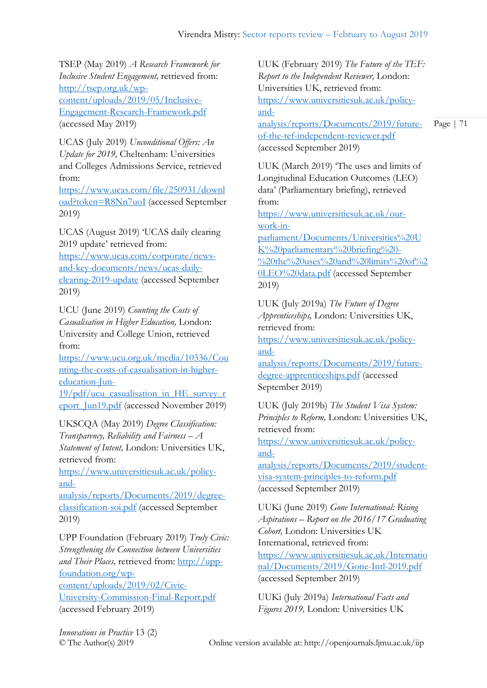TSEP (May 2019) *A Research Framework for Inclusive Student Engagement,* retrieved from: [http://tsep.org.uk/wp](http://tsep.org.uk/wp-content/uploads/2019/05/Inclusive-Engagement-Research-Framework.pdf)[content/uploads/2019/05/Inclusive-](http://tsep.org.uk/wp-content/uploads/2019/05/Inclusive-Engagement-Research-Framework.pdf)[Engagement-Research-Framework.pdf](http://tsep.org.uk/wp-content/uploads/2019/05/Inclusive-Engagement-Research-Framework.pdf) (accessed May 2019)

UCAS (July 2019) *Unconditional Offers: An Update for 2019,* Cheltenham: Universities and Colleges Admissions Service, retrieved from:

[https://www.ucas.com/file/250931/downl](https://www.ucas.com/file/250931/download?token=R8Nn7uoI) [oad?token=R8Nn7uoI](https://www.ucas.com/file/250931/download?token=R8Nn7uoI) (accessed September 2019)

UCAS (August 2019) 'UCAS daily clearing 2019 update' retrieved from:

[https://www.ucas.com/corporate/news](https://www.ucas.com/corporate/news-and-key-documents/news/ucas-daily-clearing-2019-update)[and-key-documents/news/ucas-daily](https://www.ucas.com/corporate/news-and-key-documents/news/ucas-daily-clearing-2019-update)[clearing-2019-update](https://www.ucas.com/corporate/news-and-key-documents/news/ucas-daily-clearing-2019-update) (accessed September 2019)

UCU (June 2019) *Counting the Costs of Casualisation in Higher Education,* London: University and College Union, retrieved from:

[https://www.ucu.org.uk/media/10336/Cou](https://www.ucu.org.uk/media/10336/Counting-the-costs-of-casualisation-in-higher-education-Jun-19/pdf/ucu_casualisation_in_HE_survey_report_Jun19.pdf) [nting-the-costs-of-casualisation-in-higher](https://www.ucu.org.uk/media/10336/Counting-the-costs-of-casualisation-in-higher-education-Jun-19/pdf/ucu_casualisation_in_HE_survey_report_Jun19.pdf)[education-Jun-](https://www.ucu.org.uk/media/10336/Counting-the-costs-of-casualisation-in-higher-education-Jun-19/pdf/ucu_casualisation_in_HE_survey_report_Jun19.pdf)

[19/pdf/ucu\\_casualisation\\_in\\_HE\\_survey\\_r](https://www.ucu.org.uk/media/10336/Counting-the-costs-of-casualisation-in-higher-education-Jun-19/pdf/ucu_casualisation_in_HE_survey_report_Jun19.pdf) [eport\\_Jun19.pdf](https://www.ucu.org.uk/media/10336/Counting-the-costs-of-casualisation-in-higher-education-Jun-19/pdf/ucu_casualisation_in_HE_survey_report_Jun19.pdf) (accessed November 2019)

UKSCQA (May 2019) *Degree Classification: Transparency, Reliability and Fairness – A Statement of Intent,* London: Universities UK, retrieved from:

[https://www.universitiesuk.ac.uk/policy](https://www.universitiesuk.ac.uk/policy-and-analysis/reports/Documents/2019/degree-classification-soi.pdf)[and-](https://www.universitiesuk.ac.uk/policy-and-analysis/reports/Documents/2019/degree-classification-soi.pdf)

[analysis/reports/Documents/2019/degree](https://www.universitiesuk.ac.uk/policy-and-analysis/reports/Documents/2019/degree-classification-soi.pdf)[classification-soi.pdf](https://www.universitiesuk.ac.uk/policy-and-analysis/reports/Documents/2019/degree-classification-soi.pdf) (accessed September 2019)

UPP Foundation (February 2019) *Truly Civic: Strengthening the Connection between Universities and Their Places,* retrieved from: [http://upp](http://upp-foundation.org/wp-content/uploads/2019/02/Civic-University-Commission-Final-Report.pdf)[foundation.org/wp](http://upp-foundation.org/wp-content/uploads/2019/02/Civic-University-Commission-Final-Report.pdf)[content/uploads/2019/02/Civic-](http://upp-foundation.org/wp-content/uploads/2019/02/Civic-University-Commission-Final-Report.pdf)[University-Commission-Final-Report.pdf](http://upp-foundation.org/wp-content/uploads/2019/02/Civic-University-Commission-Final-Report.pdf) (accessed February 2019)

UUK (February 2019) *The Future of the TEF: Report to the Independent Reviewer,* London: Universities UK, retrieved from: [https://www.universitiesuk.ac.uk/policy](https://www.universitiesuk.ac.uk/policy-and-analysis/reports/Documents/2019/future-of-the-tef-independent-reviewer.pdf)[and-](https://www.universitiesuk.ac.uk/policy-and-analysis/reports/Documents/2019/future-of-the-tef-independent-reviewer.pdf)

[analysis/reports/Documents/2019/future](https://www.universitiesuk.ac.uk/policy-and-analysis/reports/Documents/2019/future-of-the-tef-independent-reviewer.pdf)[of-the-tef-independent-reviewer.pdf](https://www.universitiesuk.ac.uk/policy-and-analysis/reports/Documents/2019/future-of-the-tef-independent-reviewer.pdf) (accessed September 2019)

UUK (March 2019) 'The uses and limits of Longitudinal Education Outcomes (LEO) data' (Parliamentary briefing), retrieved from:

[https://www.universitiesuk.ac.uk/our](https://www.universitiesuk.ac.uk/our-work-in-parliament/Documents/Universities%20UK%20parliamentary%20briefing%20-%20the%20uses%20and%20limits%20of%20LEO%20data.pdf)[work-in-](https://www.universitiesuk.ac.uk/our-work-in-parliament/Documents/Universities%20UK%20parliamentary%20briefing%20-%20the%20uses%20and%20limits%20of%20LEO%20data.pdf)

[parliament/Documents/Universities%20U](https://www.universitiesuk.ac.uk/our-work-in-parliament/Documents/Universities%20UK%20parliamentary%20briefing%20-%20the%20uses%20and%20limits%20of%20LEO%20data.pdf) [K%20parliamentary%20briefing%20-](https://www.universitiesuk.ac.uk/our-work-in-parliament/Documents/Universities%20UK%20parliamentary%20briefing%20-%20the%20uses%20and%20limits%20of%20LEO%20data.pdf) [%20the%20uses%20and%20limits%20of%2](https://www.universitiesuk.ac.uk/our-work-in-parliament/Documents/Universities%20UK%20parliamentary%20briefing%20-%20the%20uses%20and%20limits%20of%20LEO%20data.pdf) [0LEO%20data.pdf](https://www.universitiesuk.ac.uk/our-work-in-parliament/Documents/Universities%20UK%20parliamentary%20briefing%20-%20the%20uses%20and%20limits%20of%20LEO%20data.pdf) (accessed September 2019)

UUK (July 2019a) *The Future of Degree Apprenticeships,* London: Universities UK, retrieved from: [https://www.universitiesuk.ac.uk/policy](https://www.universitiesuk.ac.uk/policy-and-analysis/reports/Documents/2019/future-degree-apprenticeships.pdf)[and-](https://www.universitiesuk.ac.uk/policy-and-analysis/reports/Documents/2019/future-degree-apprenticeships.pdf)

[analysis/reports/Documents/2019/future](https://www.universitiesuk.ac.uk/policy-and-analysis/reports/Documents/2019/future-degree-apprenticeships.pdf)[degree-apprenticeships.pdf](https://www.universitiesuk.ac.uk/policy-and-analysis/reports/Documents/2019/future-degree-apprenticeships.pdf) (accessed September 2019)

UUK (July 2019b) *The Student Visa System: Principles to Reform,* London: Universities UK, retrieved from:

[https://www.universitiesuk.ac.uk/policy](https://www.universitiesuk.ac.uk/policy-and-analysis/reports/Documents/2019/student-visa-system-principles-to-reform.pdf)[and-](https://www.universitiesuk.ac.uk/policy-and-analysis/reports/Documents/2019/student-visa-system-principles-to-reform.pdf)

[analysis/reports/Documents/2019/student](https://www.universitiesuk.ac.uk/policy-and-analysis/reports/Documents/2019/student-visa-system-principles-to-reform.pdf)[visa-system-principles-to-reform.pdf](https://www.universitiesuk.ac.uk/policy-and-analysis/reports/Documents/2019/student-visa-system-principles-to-reform.pdf) (accessed September 2019)

UUKi (June 2019) *Gone International: Rising Aspirations – Report on the 2016/17 Graduating Cohort,* London: Universities UK International, retrieved from: [https://www.universitiesuk.ac.uk/Internatio](https://www.universitiesuk.ac.uk/International/Documents/2019/Gone-Intl-2019.pdf) [nal/Documents/2019/Gone-Intl-2019.pdf](https://www.universitiesuk.ac.uk/International/Documents/2019/Gone-Intl-2019.pdf) (accessed September 2019)

UUKi (July 2019a) *International Facts and Figures 2019,* London: Universities UK

*Innovations in Practice* 13 (2)

© The Author(s) 2019 Online version available at: http://openjournals.ljmu.ac.uk/iip